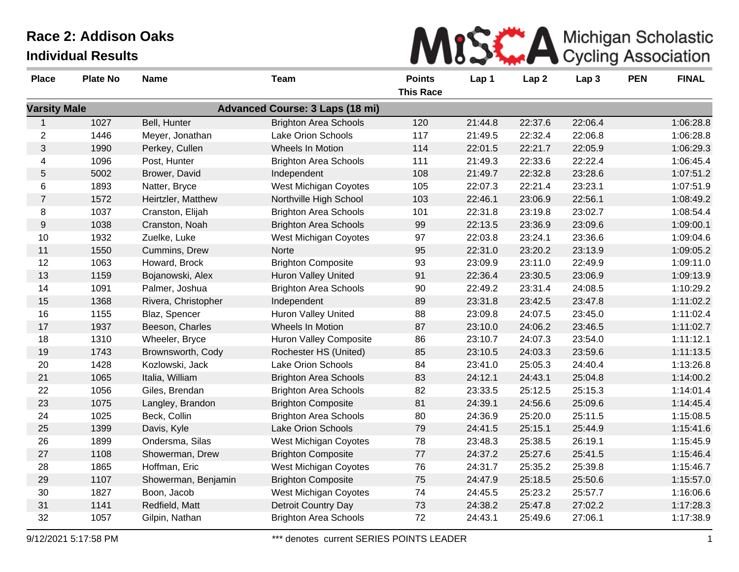|  |  |  | MISS A Michigan Scholastic |  |
|--|--|--|----------------------------|--|
|  |  |  |                            |  |

| <b>Place</b>        | <b>Plate No</b> | <b>Name</b>         | Team                                   | <b>Points</b>    | Lap 1   | Lap <sub>2</sub> | Lap <sub>3</sub> | <b>PEN</b> | <b>FINAL</b> |
|---------------------|-----------------|---------------------|----------------------------------------|------------------|---------|------------------|------------------|------------|--------------|
|                     |                 |                     |                                        | <b>This Race</b> |         |                  |                  |            |              |
| <b>Varsity Male</b> |                 |                     | <b>Advanced Course: 3 Laps (18 mi)</b> |                  |         |                  |                  |            |              |
| $\mathbf{1}$        | 1027            | Bell, Hunter        | <b>Brighton Area Schools</b>           | 120              | 21:44.8 | 22:37.6          | 22:06.4          |            | 1:06:28.8    |
| $\overline{2}$      | 1446            | Meyer, Jonathan     | Lake Orion Schools                     | 117              | 21:49.5 | 22:32.4          | 22:06.8          |            | 1:06:28.8    |
| $\mathfrak{S}$      | 1990            | Perkey, Cullen      | Wheels In Motion                       | 114              | 22:01.5 | 22:21.7          | 22:05.9          |            | 1:06:29.3    |
| 4                   | 1096            | Post, Hunter        | <b>Brighton Area Schools</b>           | 111              | 21:49.3 | 22:33.6          | 22:22.4          |            | 1:06:45.4    |
| 5                   | 5002            | Brower, David       | Independent                            | 108              | 21:49.7 | 22:32.8          | 23:28.6          |            | 1:07:51.2    |
| 6                   | 1893            | Natter, Bryce       | <b>West Michigan Coyotes</b>           | 105              | 22:07.3 | 22:21.4          | 23:23.1          |            | 1:07:51.9    |
| $\overline{7}$      | 1572            | Heirtzler, Matthew  | Northville High School                 | 103              | 22:46.1 | 23:06.9          | 22:56.1          |            | 1:08:49.2    |
| 8                   | 1037            | Cranston, Elijah    | <b>Brighton Area Schools</b>           | 101              | 22:31.8 | 23:19.8          | 23:02.7          |            | 1:08:54.4    |
| 9                   | 1038            | Cranston, Noah      | <b>Brighton Area Schools</b>           | 99               | 22:13.5 | 23:36.9          | 23:09.6          |            | 1:09:00.1    |
| 10                  | 1932            | Zuelke, Luke        | West Michigan Coyotes                  | 97               | 22:03.8 | 23:24.1          | 23:36.6          |            | 1:09:04.6    |
| 11                  | 1550            | Cummins, Drew       | Norte                                  | 95               | 22:31.0 | 23:20.2          | 23:13.9          |            | 1:09:05.2    |
| 12                  | 1063            | Howard, Brock       | <b>Brighton Composite</b>              | 93               | 23:09.9 | 23:11.0          | 22:49.9          |            | 1:09:11.0    |
| 13                  | 1159            | Bojanowski, Alex    | <b>Huron Valley United</b>             | 91               | 22:36.4 | 23:30.5          | 23:06.9          |            | 1:09:13.9    |
| 14                  | 1091            | Palmer, Joshua      | <b>Brighton Area Schools</b>           | 90               | 22:49.2 | 23:31.4          | 24:08.5          |            | 1:10:29.2    |
| 15                  | 1368            | Rivera, Christopher | Independent                            | 89               | 23:31.8 | 23:42.5          | 23:47.8          |            | 1:11:02.2    |
| 16                  | 1155            | Blaz, Spencer       | Huron Valley United                    | 88               | 23:09.8 | 24:07.5          | 23:45.0          |            | 1:11:02.4    |
| 17                  | 1937            | Beeson, Charles     | Wheels In Motion                       | 87               | 23:10.0 | 24:06.2          | 23:46.5          |            | 1:11:02.7    |
| 18                  | 1310            | Wheeler, Bryce      | <b>Huron Valley Composite</b>          | 86               | 23:10.7 | 24:07.3          | 23:54.0          |            | 1:11:12.1    |
| 19                  | 1743            | Brownsworth, Cody   | Rochester HS (United)                  | 85               | 23:10.5 | 24:03.3          | 23:59.6          |            | 1:11:13.5    |
| 20                  | 1428            | Kozlowski, Jack     | <b>Lake Orion Schools</b>              | 84               | 23:41.0 | 25:05.3          | 24:40.4          |            | 1:13:26.8    |
| 21                  | 1065            | Italia, William     | <b>Brighton Area Schools</b>           | 83               | 24:12.1 | 24:43.1          | 25:04.8          |            | 1:14:00.2    |
| 22                  | 1056            | Giles, Brendan      | <b>Brighton Area Schools</b>           | 82               | 23:33.5 | 25:12.5          | 25:15.3          |            | 1:14:01.4    |
| 23                  | 1075            | Langley, Brandon    | <b>Brighton Composite</b>              | 81               | 24:39.1 | 24:56.6          | 25:09.6          |            | 1:14:45.4    |
| 24                  | 1025            | Beck, Collin        | <b>Brighton Area Schools</b>           | 80               | 24:36.9 | 25:20.0          | 25:11.5          |            | 1:15:08.5    |
| 25                  | 1399            | Davis, Kyle         | Lake Orion Schools                     | 79               | 24:41.5 | 25:15.1          | 25:44.9          |            | 1:15:41.6    |
| 26                  | 1899            | Ondersma, Silas     | <b>West Michigan Coyotes</b>           | 78               | 23:48.3 | 25:38.5          | 26:19.1          |            | 1:15:45.9    |
| 27                  | 1108            | Showerman, Drew     | <b>Brighton Composite</b>              | $77\,$           | 24:37.2 | 25:27.6          | 25:41.5          |            | 1:15:46.4    |
| 28                  | 1865            | Hoffman, Eric       | West Michigan Coyotes                  | 76               | 24:31.7 | 25:35.2          | 25:39.8          |            | 1:15:46.7    |
| 29                  | 1107            | Showerman, Benjamin | <b>Brighton Composite</b>              | 75               | 24:47.9 | 25:18.5          | 25:50.6          |            | 1:15:57.0    |
| 30                  | 1827            | Boon, Jacob         | West Michigan Coyotes                  | 74               | 24:45.5 | 25:23.2          | 25:57.7          |            | 1:16:06.6    |
| 31                  | 1141            | Redfield, Matt      | Detroit Country Day                    | 73               | 24:38.2 | 25:47.8          | 27:02.2          |            | 1:17:28.3    |
| 32                  | 1057            | Gilpin, Nathan      | <b>Brighton Area Schools</b>           | 72               | 24:43.1 | 25:49.6          | 27:06.1          |            | 1:17:38.9    |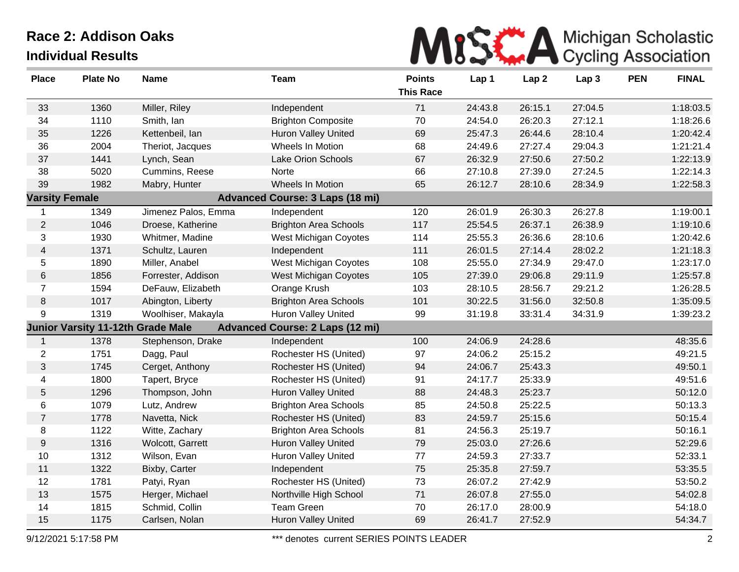

| <b>Place</b>          | <b>Plate No</b> | <b>Name</b>                       | <b>Team</b>                            | <b>Points</b>    | Lap 1   | Lap <sub>2</sub> | Lap <sub>3</sub> | <b>PEN</b> | <b>FINAL</b> |
|-----------------------|-----------------|-----------------------------------|----------------------------------------|------------------|---------|------------------|------------------|------------|--------------|
|                       |                 |                                   |                                        | <b>This Race</b> |         |                  |                  |            |              |
| 33                    | 1360            | Miller, Riley                     | Independent                            | 71               | 24:43.8 | 26:15.1          | 27:04.5          |            | 1:18:03.5    |
| 34                    | 1110            | Smith, Ian                        | <b>Brighton Composite</b>              | 70               | 24:54.0 | 26:20.3          | 27:12.1          |            | 1:18:26.6    |
| 35                    | 1226            | Kettenbeil, lan                   | Huron Valley United                    | 69               | 25:47.3 | 26:44.6          | 28:10.4          |            | 1:20:42.4    |
| 36                    | 2004            | Theriot, Jacques                  | Wheels In Motion                       | 68               | 24:49.6 | 27:27.4          | 29:04.3          |            | 1:21:21.4    |
| 37                    | 1441            | Lynch, Sean                       | Lake Orion Schools                     | 67               | 26:32.9 | 27:50.6          | 27:50.2          |            | 1:22:13.9    |
| 38                    | 5020            | Cummins, Reese                    | Norte                                  | 66               | 27:10.8 | 27:39.0          | 27:24.5          |            | 1:22:14.3    |
| 39                    | 1982            | Mabry, Hunter                     | Wheels In Motion                       | 65               | 26:12.7 | 28:10.6          | 28:34.9          |            | 1:22:58.3    |
| <b>Varsity Female</b> |                 |                                   | <b>Advanced Course: 3 Laps (18 mi)</b> |                  |         |                  |                  |            |              |
| 1                     | 1349            | Jimenez Palos, Emma               | Independent                            | 120              | 26:01.9 | 26:30.3          | 26:27.8          |            | 1:19:00.1    |
| $\overline{c}$        | 1046            | Droese, Katherine                 | <b>Brighton Area Schools</b>           | 117              | 25:54.5 | 26:37.1          | 26:38.9          |            | 1:19:10.6    |
| 3                     | 1930            | Whitmer, Madine                   | West Michigan Coyotes                  | 114              | 25:55.3 | 26:36.6          | 28:10.6          |            | 1:20:42.6    |
| 4                     | 1371            | Schultz, Lauren                   | Independent                            | 111              | 26:01.5 | 27:14.4          | 28:02.2          |            | 1:21:18.3    |
| 5                     | 1890            | Miller, Anabel                    | West Michigan Coyotes                  | 108              | 25:55.0 | 27:34.9          | 29:47.0          |            | 1:23:17.0    |
| 6                     | 1856            | Forrester, Addison                | West Michigan Coyotes                  | 105              | 27:39.0 | 29:06.8          | 29:11.9          |            | 1:25:57.8    |
| $\overline{7}$        | 1594            | DeFauw, Elizabeth                 | Orange Krush                           | 103              | 28:10.5 | 28:56.7          | 29:21.2          |            | 1:26:28.5    |
| 8                     | 1017            | Abington, Liberty                 | <b>Brighton Area Schools</b>           | 101              | 30:22.5 | 31:56.0          | 32:50.8          |            | 1:35:09.5    |
| 9                     | 1319            | Woolhiser, Makayla                | Huron Valley United                    | 99               | 31:19.8 | 33:31.4          | 34:31.9          |            | 1:39:23.2    |
|                       |                 | Junior Varsity 11-12th Grade Male | <b>Advanced Course: 2 Laps (12 mi)</b> |                  |         |                  |                  |            |              |
| $\mathbf{1}$          | 1378            | Stephenson, Drake                 | Independent                            | 100              | 24:06.9 | 24:28.6          |                  |            | 48:35.6      |
| $\overline{c}$        | 1751            | Dagg, Paul                        | Rochester HS (United)                  | 97               | 24:06.2 | 25:15.2          |                  |            | 49:21.5      |
| 3                     | 1745            | Cerget, Anthony                   | Rochester HS (United)                  | 94               | 24:06.7 | 25:43.3          |                  |            | 49:50.1      |
| 4                     | 1800            | Tapert, Bryce                     | Rochester HS (United)                  | 91               | 24:17.7 | 25:33.9          |                  |            | 49:51.6      |
| 5                     | 1296            | Thompson, John                    | <b>Huron Valley United</b>             | 88               | 24:48.3 | 25:23.7          |                  |            | 50:12.0      |
| 6                     | 1079            | Lutz, Andrew                      | <b>Brighton Area Schools</b>           | 85               | 24:50.8 | 25:22.5          |                  |            | 50:13.3      |
| $\overline{7}$        | 1778            | Navetta, Nick                     | Rochester HS (United)                  | 83               | 24:59.7 | 25:15.6          |                  |            | 50:15.4      |
| 8                     | 1122            | Witte, Zachary                    | <b>Brighton Area Schools</b>           | 81               | 24:56.3 | 25:19.7          |                  |            | 50:16.1      |
| 9                     | 1316            | Wolcott, Garrett                  | <b>Huron Valley United</b>             | 79               | 25:03.0 | 27:26.6          |                  |            | 52:29.6      |
| 10                    | 1312            | Wilson, Evan                      | <b>Huron Valley United</b>             | 77               | 24:59.3 | 27:33.7          |                  |            | 52:33.1      |
| 11                    | 1322            | Bixby, Carter                     | Independent                            | 75               | 25:35.8 | 27:59.7          |                  |            | 53:35.5      |
| 12                    | 1781            | Patyi, Ryan                       | Rochester HS (United)                  | 73               | 26:07.2 | 27:42.9          |                  |            | 53:50.2      |
| 13                    | 1575            | Herger, Michael                   | Northville High School                 | 71               | 26:07.8 | 27:55.0          |                  |            | 54:02.8      |
| 14                    | 1815            | Schmid, Collin                    | Team Green                             | 70               | 26:17.0 | 28:00.9          |                  |            | 54:18.0      |
| 15                    | 1175            | Carlsen, Nolan                    | <b>Huron Valley United</b>             | 69               | 26:41.7 | 27:52.9          |                  |            | 54:34.7      |

9/12/2021 5:17:58 PM \*\*\* denotes current SERIES POINTS LEADER 2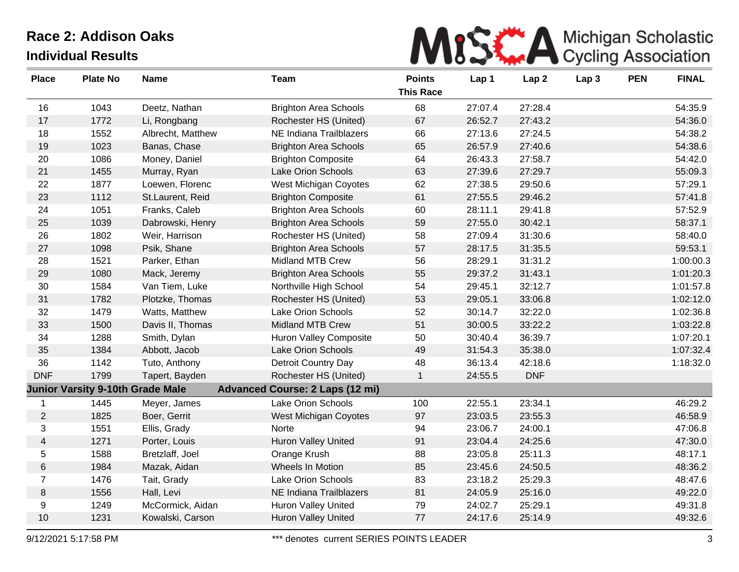|--|

| <b>Place</b>   | <b>Plate No</b>                         | <b>Name</b>       | <b>Team</b>                            | <b>Points</b><br><b>This Race</b> | Lap 1   | Lap <sub>2</sub> | Lap <sub>3</sub> | <b>PEN</b> | <b>FINAL</b> |
|----------------|-----------------------------------------|-------------------|----------------------------------------|-----------------------------------|---------|------------------|------------------|------------|--------------|
| 16             | 1043                                    | Deetz, Nathan     | <b>Brighton Area Schools</b>           | 68                                | 27:07.4 | 27:28.4          |                  |            | 54:35.9      |
| 17             | 1772                                    | Li, Rongbang      | Rochester HS (United)                  | 67                                | 26:52.7 | 27:43.2          |                  |            | 54:36.0      |
| 18             | 1552                                    | Albrecht, Matthew | NE Indiana Trailblazers                | 66                                | 27:13.6 | 27:24.5          |                  |            | 54:38.2      |
| 19             | 1023                                    | Banas, Chase      | <b>Brighton Area Schools</b>           | 65                                | 26:57.9 | 27:40.6          |                  |            | 54:38.6      |
| 20             | 1086                                    | Money, Daniel     | <b>Brighton Composite</b>              | 64                                | 26:43.3 | 27:58.7          |                  |            | 54:42.0      |
| 21             | 1455                                    | Murray, Ryan      | Lake Orion Schools                     | 63                                | 27:39.6 | 27:29.7          |                  |            | 55:09.3      |
| 22             | 1877                                    | Loewen, Florenc   | West Michigan Coyotes                  | 62                                | 27:38.5 | 29:50.6          |                  |            | 57:29.1      |
| 23             | 1112                                    | St.Laurent, Reid  | <b>Brighton Composite</b>              | 61                                | 27:55.5 | 29:46.2          |                  |            | 57:41.8      |
| 24             | 1051                                    | Franks, Caleb     | <b>Brighton Area Schools</b>           | 60                                | 28:11.1 | 29:41.8          |                  |            | 57:52.9      |
| 25             | 1039                                    | Dabrowski, Henry  | <b>Brighton Area Schools</b>           | 59                                | 27:55.0 | 30:42.1          |                  |            | 58:37.1      |
| 26             | 1802                                    | Weir, Harrison    | Rochester HS (United)                  | 58                                | 27:09.4 | 31:30.6          |                  |            | 58:40.0      |
| 27             | 1098                                    | Psik, Shane       | <b>Brighton Area Schools</b>           | 57                                | 28:17.5 | 31:35.5          |                  |            | 59:53.1      |
| 28             | 1521                                    | Parker, Ethan     | <b>Midland MTB Crew</b>                | 56                                | 28:29.1 | 31:31.2          |                  |            | 1:00:00.3    |
| 29             | 1080                                    | Mack, Jeremy      | <b>Brighton Area Schools</b>           | 55                                | 29:37.2 | 31:43.1          |                  |            | 1:01:20.3    |
| 30             | 1584                                    | Van Tiem, Luke    | Northville High School                 | 54                                | 29:45.1 | 32:12.7          |                  |            | 1:01:57.8    |
| 31             | 1782                                    | Plotzke, Thomas   | Rochester HS (United)                  | 53                                | 29:05.1 | 33:06.8          |                  |            | 1:02:12.0    |
| 32             | 1479                                    | Watts, Matthew    | Lake Orion Schools                     | 52                                | 30:14.7 | 32:22.0          |                  |            | 1:02:36.8    |
| 33             | 1500                                    | Davis II, Thomas  | <b>Midland MTB Crew</b>                | 51                                | 30:00.5 | 33:22.2          |                  |            | 1:03:22.8    |
| 34             | 1288                                    | Smith, Dylan      | <b>Huron Valley Composite</b>          | 50                                | 30:40.4 | 36:39.7          |                  |            | 1:07:20.1    |
| 35             | 1384                                    | Abbott, Jacob     | Lake Orion Schools                     | 49                                | 31:54.3 | 35:38.0          |                  |            | 1:07:32.4    |
| 36             | 1142                                    | Tuto, Anthony     | Detroit Country Day                    | 48                                | 36:13.4 | 42:18.6          |                  |            | 1:18:32.0    |
| <b>DNF</b>     | 1799                                    | Tapert, Bayden    | Rochester HS (United)                  | $\mathbf{1}$                      | 24:55.5 | <b>DNF</b>       |                  |            |              |
|                | <b>Junior Varsity 9-10th Grade Male</b> |                   | <b>Advanced Course: 2 Laps (12 mi)</b> |                                   |         |                  |                  |            |              |
| 1              | 1445                                    | Meyer, James      | Lake Orion Schools                     | 100                               | 22:55.1 | 23:34.1          |                  |            | 46:29.2      |
| $\overline{2}$ | 1825                                    | Boer, Gerrit      | West Michigan Coyotes                  | 97                                | 23:03.5 | 23:55.3          |                  |            | 46:58.9      |
| 3              | 1551                                    | Ellis, Grady      | Norte                                  | 94                                | 23:06.7 | 24:00.1          |                  |            | 47:06.8      |
| $\overline{4}$ | 1271                                    | Porter, Louis     | Huron Valley United                    | 91                                | 23:04.4 | 24:25.6          |                  |            | 47:30.0      |
| 5              | 1588                                    | Bretzlaff, Joel   | Orange Krush                           | 88                                | 23:05.8 | 25:11.3          |                  |            | 48:17.1      |
| $\,6$          | 1984                                    | Mazak, Aidan      | Wheels In Motion                       | 85                                | 23:45.6 | 24:50.5          |                  |            | 48:36.2      |
| $\overline{7}$ | 1476                                    | Tait, Grady       | Lake Orion Schools                     | 83                                | 23:18.2 | 25:29.3          |                  |            | 48:47.6      |
| $\bf 8$        | 1556                                    | Hall, Levi        | NE Indiana Trailblazers                | 81                                | 24:05.9 | 25:16.0          |                  |            | 49:22.0      |
| 9              | 1249                                    | McCormick, Aidan  | Huron Valley United                    | 79                                | 24:02.7 | 25:29.1          |                  |            | 49:31.8      |
| 10             | 1231                                    | Kowalski, Carson  | <b>Huron Valley United</b>             | 77                                | 24:17.6 | 25:14.9          |                  |            | 49:32.6      |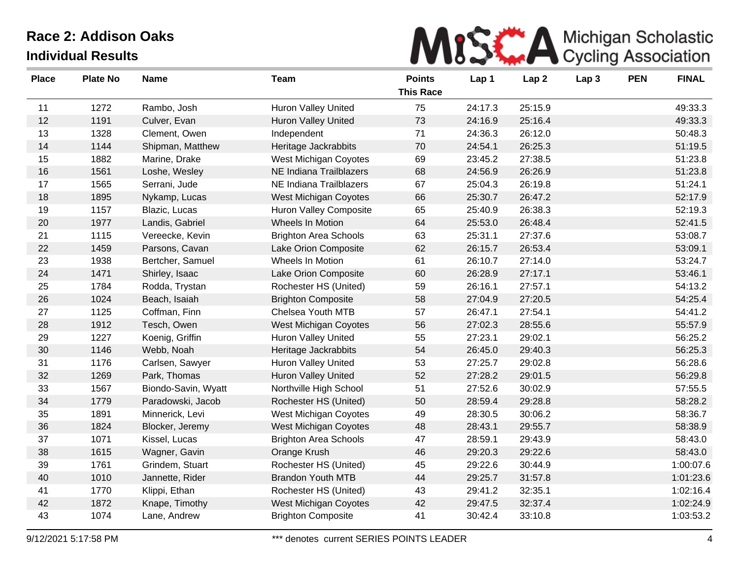| MISS A Michigan Scholastic |
|----------------------------|
|----------------------------|

| <b>Place</b> | <b>Plate No</b> | <b>Name</b>         | <b>Team</b>                   | <b>Points</b><br><b>This Race</b> | Lap 1   | Lap <sub>2</sub> | Lap <sub>3</sub> | <b>PEN</b> | <b>FINAL</b> |
|--------------|-----------------|---------------------|-------------------------------|-----------------------------------|---------|------------------|------------------|------------|--------------|
| 11           | 1272            | Rambo, Josh         | Huron Valley United           | 75                                | 24:17.3 | 25:15.9          |                  |            | 49:33.3      |
| 12           | 1191            | Culver, Evan        | Huron Valley United           | 73                                | 24:16.9 | 25:16.4          |                  |            | 49:33.3      |
| 13           | 1328            | Clement, Owen       | Independent                   | 71                                | 24:36.3 | 26:12.0          |                  |            | 50:48.3      |
| 14           | 1144            | Shipman, Matthew    | Heritage Jackrabbits          | 70                                | 24:54.1 | 26:25.3          |                  |            | 51:19.5      |
| 15           | 1882            | Marine, Drake       | West Michigan Coyotes         | 69                                | 23:45.2 | 27:38.5          |                  |            | 51:23.8      |
| 16           | 1561            | Loshe, Wesley       | NE Indiana Trailblazers       | 68                                | 24:56.9 | 26:26.9          |                  |            | 51:23.8      |
| 17           | 1565            | Serrani, Jude       | NE Indiana Trailblazers       | 67                                | 25:04.3 | 26:19.8          |                  |            | 51:24.1      |
| 18           | 1895            | Nykamp, Lucas       | <b>West Michigan Coyotes</b>  | 66                                | 25:30.7 | 26:47.2          |                  |            | 52:17.9      |
| 19           | 1157            | Blazic, Lucas       | <b>Huron Valley Composite</b> | 65                                | 25:40.9 | 26:38.3          |                  |            | 52:19.3      |
| 20           | 1977            | Landis, Gabriel     | Wheels In Motion              | 64                                | 25:53.0 | 26:48.4          |                  |            | 52:41.5      |
| 21           | 1115            | Vereecke, Kevin     | <b>Brighton Area Schools</b>  | 63                                | 25:31.1 | 27:37.6          |                  |            | 53:08.7      |
| 22           | 1459            | Parsons, Cavan      | Lake Orion Composite          | 62                                | 26:15.7 | 26:53.4          |                  |            | 53:09.1      |
| 23           | 1938            | Bertcher, Samuel    | Wheels In Motion              | 61                                | 26:10.7 | 27:14.0          |                  |            | 53:24.7      |
| 24           | 1471            | Shirley, Isaac      | Lake Orion Composite          | 60                                | 26:28.9 | 27:17.1          |                  |            | 53:46.1      |
| 25           | 1784            | Rodda, Trystan      | Rochester HS (United)         | 59                                | 26:16.1 | 27:57.1          |                  |            | 54:13.2      |
| 26           | 1024            | Beach, Isaiah       | <b>Brighton Composite</b>     | 58                                | 27:04.9 | 27:20.5          |                  |            | 54:25.4      |
| 27           | 1125            | Coffman, Finn       | Chelsea Youth MTB             | 57                                | 26:47.1 | 27:54.1          |                  |            | 54:41.2      |
| 28           | 1912            | Tesch, Owen         | <b>West Michigan Coyotes</b>  | 56                                | 27:02.3 | 28:55.6          |                  |            | 55:57.9      |
| 29           | 1227            | Koenig, Griffin     | <b>Huron Valley United</b>    | 55                                | 27:23.1 | 29:02.1          |                  |            | 56:25.2      |
| 30           | 1146            | Webb, Noah          | Heritage Jackrabbits          | 54                                | 26:45.0 | 29:40.3          |                  |            | 56:25.3      |
| 31           | 1176            | Carlsen, Sawyer     | Huron Valley United           | 53                                | 27:25.7 | 29:02.8          |                  |            | 56:28.6      |
| 32           | 1269            | Park, Thomas        | Huron Valley United           | 52                                | 27:28.2 | 29:01.5          |                  |            | 56:29.8      |
| 33           | 1567            | Biondo-Savin, Wyatt | Northville High School        | 51                                | 27:52.6 | 30:02.9          |                  |            | 57:55.5      |
| 34           | 1779            | Paradowski, Jacob   | Rochester HS (United)         | 50                                | 28:59.4 | 29:28.8          |                  |            | 58:28.2      |
| 35           | 1891            | Minnerick, Levi     | West Michigan Coyotes         | 49                                | 28:30.5 | 30:06.2          |                  |            | 58:36.7      |
| 36           | 1824            | Blocker, Jeremy     | <b>West Michigan Coyotes</b>  | 48                                | 28:43.1 | 29:55.7          |                  |            | 58:38.9      |
| 37           | 1071            | Kissel, Lucas       | <b>Brighton Area Schools</b>  | 47                                | 28:59.1 | 29:43.9          |                  |            | 58:43.0      |
| 38           | 1615            | Wagner, Gavin       | Orange Krush                  | 46                                | 29:20.3 | 29:22.6          |                  |            | 58:43.0      |
| 39           | 1761            | Grindem, Stuart     | Rochester HS (United)         | 45                                | 29:22.6 | 30:44.9          |                  |            | 1:00:07.6    |
| 40           | 1010            | Jannette, Rider     | <b>Brandon Youth MTB</b>      | 44                                | 29:25.7 | 31:57.8          |                  |            | 1:01:23.6    |
| 41           | 1770            | Klippi, Ethan       | Rochester HS (United)         | 43                                | 29:41.2 | 32:35.1          |                  |            | 1:02:16.4    |
| 42           | 1872            | Knape, Timothy      | West Michigan Coyotes         | 42                                | 29:47.5 | 32:37.4          |                  |            | 1:02:24.9    |
| 43           | 1074            | Lane, Andrew        | <b>Brighton Composite</b>     | 41                                | 30:42.4 | 33:10.8          |                  |            | 1:03:53.2    |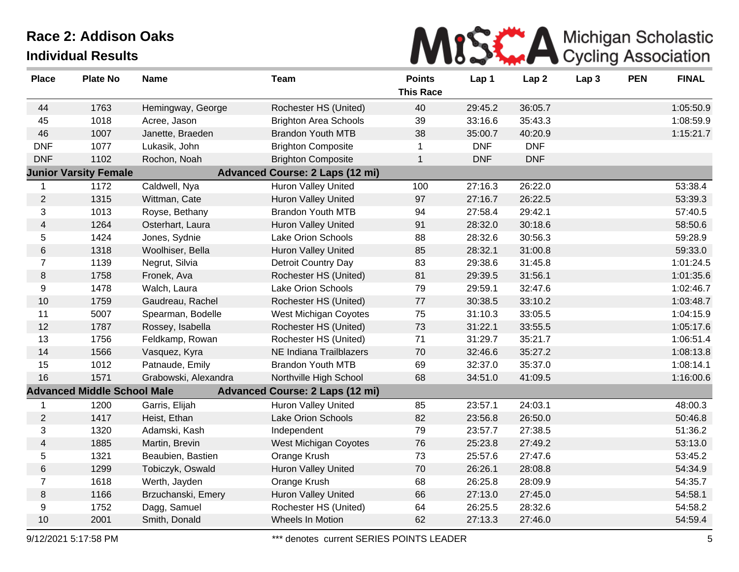

| <b>Place</b>   | <b>Plate No</b>                    | <b>Name</b>          | <b>Team</b>                            | <b>Points</b><br><b>This Race</b> | Lap 1      | Lap <sub>2</sub> | Lap <sub>3</sub> | <b>PEN</b> | <b>FINAL</b> |
|----------------|------------------------------------|----------------------|----------------------------------------|-----------------------------------|------------|------------------|------------------|------------|--------------|
| 44             | 1763                               | Hemingway, George    | Rochester HS (United)                  | 40                                | 29:45.2    | 36:05.7          |                  |            | 1:05:50.9    |
| 45             | 1018                               | Acree, Jason         | <b>Brighton Area Schools</b>           | 39                                | 33:16.6    | 35:43.3          |                  |            | 1:08:59.9    |
| 46             | 1007                               | Janette, Braeden     | <b>Brandon Youth MTB</b>               | 38                                | 35:00.7    | 40:20.9          |                  |            | 1:15:21.7    |
| <b>DNF</b>     | 1077                               | Lukasik, John        | <b>Brighton Composite</b>              | $\mathbf 1$                       | <b>DNF</b> | <b>DNF</b>       |                  |            |              |
| <b>DNF</b>     | 1102                               | Rochon, Noah         | <b>Brighton Composite</b>              | $\mathbf{1}$                      | <b>DNF</b> | <b>DNF</b>       |                  |            |              |
|                | <b>Junior Varsity Female</b>       |                      | <b>Advanced Course: 2 Laps (12 mi)</b> |                                   |            |                  |                  |            |              |
| 1              | 1172                               | Caldwell, Nya        | Huron Valley United                    | 100                               | 27:16.3    | 26:22.0          |                  |            | 53:38.4      |
| $\overline{c}$ | 1315                               | Wittman, Cate        | <b>Huron Valley United</b>             | 97                                | 27:16.7    | 26:22.5          |                  |            | 53:39.3      |
| 3              | 1013                               | Royse, Bethany       | <b>Brandon Youth MTB</b>               | 94                                | 27:58.4    | 29:42.1          |                  |            | 57:40.5      |
| 4              | 1264                               | Osterhart, Laura     | Huron Valley United                    | 91                                | 28:32.0    | 30:18.6          |                  |            | 58:50.6      |
| 5              | 1424                               | Jones, Sydnie        | Lake Orion Schools                     | 88                                | 28:32.6    | 30:56.3          |                  |            | 59:28.9      |
| 6              | 1318                               | Woolhiser, Bella     | Huron Valley United                    | 85                                | 28:32.1    | 31:00.8          |                  |            | 59:33.0      |
| $\overline{7}$ | 1139                               | Negrut, Silvia       | <b>Detroit Country Day</b>             | 83                                | 29:38.6    | 31:45.8          |                  |            | 1:01:24.5    |
| 8              | 1758                               | Fronek, Ava          | Rochester HS (United)                  | 81                                | 29:39.5    | 31:56.1          |                  |            | 1:01:35.6    |
| 9              | 1478                               | Walch, Laura         | Lake Orion Schools                     | 79                                | 29:59.1    | 32:47.6          |                  |            | 1:02:46.7    |
| 10             | 1759                               | Gaudreau, Rachel     | Rochester HS (United)                  | 77                                | 30:38.5    | 33:10.2          |                  |            | 1:03:48.7    |
| 11             | 5007                               | Spearman, Bodelle    | West Michigan Coyotes                  | 75                                | 31:10.3    | 33:05.5          |                  |            | 1:04:15.9    |
| 12             | 1787                               | Rossey, Isabella     | Rochester HS (United)                  | 73                                | 31:22.1    | 33:55.5          |                  |            | 1:05:17.6    |
| 13             | 1756                               | Feldkamp, Rowan      | Rochester HS (United)                  | 71                                | 31:29.7    | 35:21.7          |                  |            | 1:06:51.4    |
| 14             | 1566                               | Vasquez, Kyra        | NE Indiana Trailblazers                | 70                                | 32:46.6    | 35:27.2          |                  |            | 1:08:13.8    |
| 15             | 1012                               | Patnaude, Emily      | <b>Brandon Youth MTB</b>               | 69                                | 32:37.0    | 35:37.0          |                  |            | 1:08:14.1    |
| 16             | 1571                               | Grabowski, Alexandra | Northville High School                 | 68                                | 34:51.0    | 41:09.5          |                  |            | 1:16:00.6    |
|                | <b>Advanced Middle School Male</b> |                      | <b>Advanced Course: 2 Laps (12 mi)</b> |                                   |            |                  |                  |            |              |
| 1              | 1200                               | Garris, Elijah       | Huron Valley United                    | 85                                | 23:57.1    | 24:03.1          |                  |            | 48:00.3      |
| $\overline{2}$ | 1417                               | Heist, Ethan         | <b>Lake Orion Schools</b>              | 82                                | 23:56.8    | 26:50.0          |                  |            | 50:46.8      |
| 3              | 1320                               | Adamski, Kash        | Independent                            | 79                                | 23:57.7    | 27:38.5          |                  |            | 51:36.2      |
| 4              | 1885                               | Martin, Brevin       | West Michigan Coyotes                  | 76                                | 25:23.8    | 27:49.2          |                  |            | 53:13.0      |
| 5              | 1321                               | Beaubien, Bastien    | Orange Krush                           | 73                                | 25:57.6    | 27:47.6          |                  |            | 53:45.2      |
| 6              | 1299                               | Tobiczyk, Oswald     | Huron Valley United                    | 70                                | 26:26.1    | 28:08.8          |                  |            | 54:34.9      |
| $\overline{7}$ | 1618                               | Werth, Jayden        | Orange Krush                           | 68                                | 26:25.8    | 28:09.9          |                  |            | 54:35.7      |
| 8              | 1166                               | Brzuchanski, Emery   | Huron Valley United                    | 66                                | 27:13.0    | 27:45.0          |                  |            | 54:58.1      |
| 9              | 1752                               | Dagg, Samuel         | Rochester HS (United)                  | 64                                | 26:25.5    | 28:32.6          |                  |            | 54:58.2      |
| 10             | 2001                               | Smith, Donald        | Wheels In Motion                       | 62                                | 27:13.3    | 27:46.0          |                  |            | 54:59.4      |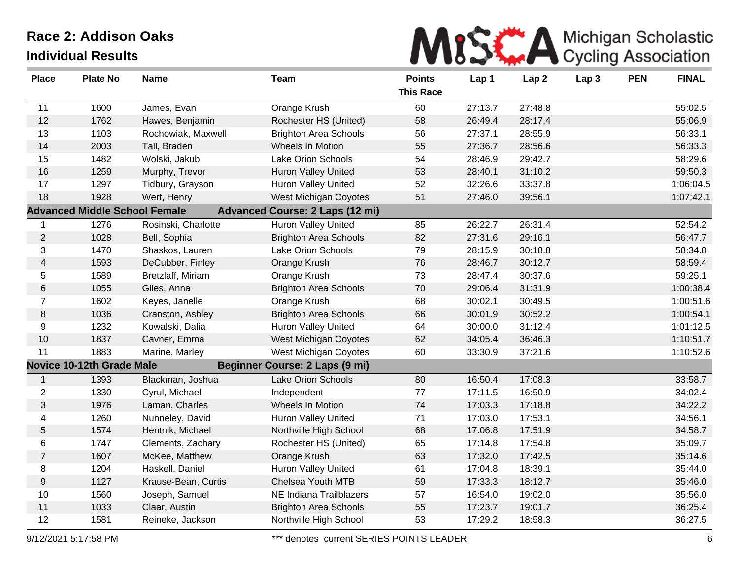

| <b>Place</b>            | <b>Plate No</b>                      | <b>Name</b>         | <b>Team</b>                            | <b>Points</b><br><b>This Race</b> | Lap 1   | Lap <sub>2</sub> | Lap <sub>3</sub> | <b>PEN</b> | <b>FINAL</b> |
|-------------------------|--------------------------------------|---------------------|----------------------------------------|-----------------------------------|---------|------------------|------------------|------------|--------------|
| 11                      | 1600                                 | James, Evan         | Orange Krush                           | 60                                | 27:13.7 | 27:48.8          |                  |            | 55:02.5      |
| 12                      | 1762                                 | Hawes, Benjamin     | Rochester HS (United)                  | 58                                | 26:49.4 | 28:17.4          |                  |            | 55:06.9      |
| 13                      | 1103                                 | Rochowiak, Maxwell  | <b>Brighton Area Schools</b>           | 56                                | 27:37.1 | 28:55.9          |                  |            | 56:33.1      |
| 14                      | 2003                                 | Tall, Braden        | <b>Wheels In Motion</b>                | 55                                | 27:36.7 | 28:56.6          |                  |            | 56:33.3      |
| 15                      | 1482                                 | Wolski, Jakub       | Lake Orion Schools                     | 54                                | 28:46.9 | 29:42.7          |                  |            | 58:29.6      |
| 16                      | 1259                                 | Murphy, Trevor      | <b>Huron Valley United</b>             | 53                                | 28:40.1 | 31:10.2          |                  |            | 59:50.3      |
| 17                      | 1297                                 | Tidbury, Grayson    | <b>Huron Valley United</b>             | 52                                | 32:26.6 | 33:37.8          |                  |            | 1:06:04.5    |
| 18                      | 1928                                 | Wert, Henry         | <b>West Michigan Coyotes</b>           | 51                                | 27:46.0 | 39:56.1          |                  |            | 1:07:42.1    |
|                         | <b>Advanced Middle School Female</b> |                     | <b>Advanced Course: 2 Laps (12 mi)</b> |                                   |         |                  |                  |            |              |
| 1                       | 1276                                 | Rosinski, Charlotte | Huron Valley United                    | 85                                | 26:22.7 | 26:31.4          |                  |            | 52:54.2      |
| $\overline{2}$          | 1028                                 | Bell, Sophia        | <b>Brighton Area Schools</b>           | 82                                | 27:31.6 | 29:16.1          |                  |            | 56:47.7      |
| 3                       | 1470                                 | Shaskos, Lauren     | Lake Orion Schools                     | 79                                | 28:15.9 | 30:18.8          |                  |            | 58:34.8      |
| $\overline{\mathbf{4}}$ | 1593                                 | DeCubber, Finley    | Orange Krush                           | 76                                | 28:46.7 | 30:12.7          |                  |            | 58:59.4      |
| 5                       | 1589                                 | Bretzlaff, Miriam   | Orange Krush                           | 73                                | 28:47.4 | 30:37.6          |                  |            | 59:25.1      |
| 6                       | 1055                                 | Giles, Anna         | <b>Brighton Area Schools</b>           | 70                                | 29:06.4 | 31:31.9          |                  |            | 1:00:38.4    |
| $\overline{7}$          | 1602                                 | Keyes, Janelle      | Orange Krush                           | 68                                | 30:02.1 | 30:49.5          |                  |            | 1:00:51.6    |
| 8                       | 1036                                 | Cranston, Ashley    | <b>Brighton Area Schools</b>           | 66                                | 30:01.9 | 30:52.2          |                  |            | 1:00:54.1    |
| 9                       | 1232                                 | Kowalski, Dalia     | Huron Valley United                    | 64                                | 30:00.0 | 31:12.4          |                  |            | 1:01:12.5    |
| 10                      | 1837                                 | Cavner, Emma        | West Michigan Coyotes                  | 62                                | 34:05.4 | 36:46.3          |                  |            | 1:10:51.7    |
| 11                      | 1883                                 | Marine, Marley      | West Michigan Coyotes                  | 60                                | 33:30.9 | 37:21.6          |                  |            | 1:10:52.6    |
|                         | <b>Novice 10-12th Grade Male</b>     |                     | Beginner Course: 2 Laps (9 mi)         |                                   |         |                  |                  |            |              |
| $\mathbf 1$             | 1393                                 | Blackman, Joshua    | Lake Orion Schools                     | 80                                | 16:50.4 | 17:08.3          |                  |            | 33:58.7      |
| $\overline{2}$          | 1330                                 | Cyrul, Michael      | Independent                            | 77                                | 17:11.5 | 16:50.9          |                  |            | 34:02.4      |
| 3                       | 1976                                 | Laman, Charles      | Wheels In Motion                       | 74                                | 17:03.3 | 17:18.8          |                  |            | 34:22.2      |
| 4                       | 1260                                 | Nunneley, David     | <b>Huron Valley United</b>             | 71                                | 17:03.0 | 17:53.1          |                  |            | 34:56.1      |
| 5                       | 1574                                 | Hentnik, Michael    | Northville High School                 | 68                                | 17:06.8 | 17:51.9          |                  |            | 34:58.7      |
| 6                       | 1747                                 | Clements, Zachary   | Rochester HS (United)                  | 65                                | 17:14.8 | 17:54.8          |                  |            | 35:09.7      |
| $\overline{7}$          | 1607                                 | McKee, Matthew      | Orange Krush                           | 63                                | 17:32.0 | 17:42.5          |                  |            | 35:14.6      |
| 8                       | 1204                                 | Haskell, Daniel     | Huron Valley United                    | 61                                | 17:04.8 | 18:39.1          |                  |            | 35:44.0      |
| $\boldsymbol{9}$        | 1127                                 | Krause-Bean, Curtis | Chelsea Youth MTB                      | 59                                | 17:33.3 | 18:12.7          |                  |            | 35:46.0      |
| 10                      | 1560                                 | Joseph, Samuel      | NE Indiana Trailblazers                | 57                                | 16:54.0 | 19:02.0          |                  |            | 35:56.0      |
| 11                      | 1033                                 | Claar, Austin       | <b>Brighton Area Schools</b>           | 55                                | 17:23.7 | 19:01.7          |                  |            | 36:25.4      |
| 12                      | 1581                                 | Reineke, Jackson    | Northville High School                 | 53                                | 17:29.2 | 18:58.3          |                  |            | 36:27.5      |

9/12/2021 5:17:58 PM **\*\*\*** denotes current SERIES POINTS LEADER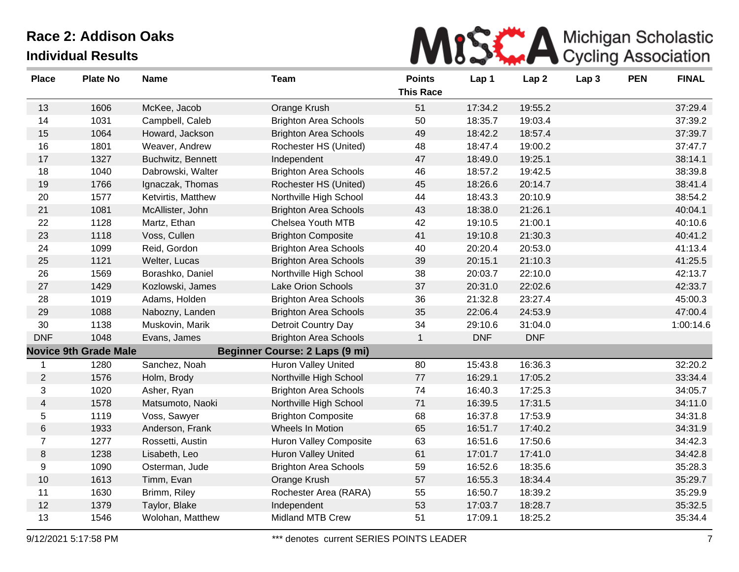| MISE A Michigan Scholastic |
|----------------------------|
|                            |

| <b>Place</b>   | <b>Plate No</b>              | <b>Name</b>        | <b>Team</b>                           | <b>Points</b>    | Lap 1      | Lap <sub>2</sub> | Lap <sub>3</sub> | <b>PEN</b> | <b>FINAL</b> |
|----------------|------------------------------|--------------------|---------------------------------------|------------------|------------|------------------|------------------|------------|--------------|
|                |                              |                    |                                       | <b>This Race</b> |            |                  |                  |            |              |
| 13             | 1606                         | McKee, Jacob       | Orange Krush                          | 51               | 17:34.2    | 19:55.2          |                  |            | 37:29.4      |
| 14             | 1031                         | Campbell, Caleb    | <b>Brighton Area Schools</b>          | 50               | 18:35.7    | 19:03.4          |                  |            | 37:39.2      |
| 15             | 1064                         | Howard, Jackson    | <b>Brighton Area Schools</b>          | 49               | 18:42.2    | 18:57.4          |                  |            | 37:39.7      |
| 16             | 1801                         | Weaver, Andrew     | Rochester HS (United)                 | 48               | 18:47.4    | 19:00.2          |                  |            | 37:47.7      |
| 17             | 1327                         | Buchwitz, Bennett  | Independent                           | 47               | 18:49.0    | 19:25.1          |                  |            | 38:14.1      |
| 18             | 1040                         | Dabrowski, Walter  | <b>Brighton Area Schools</b>          | 46               | 18:57.2    | 19:42.5          |                  |            | 38:39.8      |
| 19             | 1766                         | Ignaczak, Thomas   | Rochester HS (United)                 | 45               | 18:26.6    | 20:14.7          |                  |            | 38:41.4      |
| 20             | 1577                         | Ketvirtis, Matthew | Northville High School                | 44               | 18:43.3    | 20:10.9          |                  |            | 38:54.2      |
| 21             | 1081                         | McAllister, John   | <b>Brighton Area Schools</b>          | 43               | 18:38.0    | 21:26.1          |                  |            | 40:04.1      |
| 22             | 1128                         | Martz, Ethan       | Chelsea Youth MTB                     | 42               | 19:10.5    | 21:00.1          |                  |            | 40:10.6      |
| 23             | 1118                         | Voss, Cullen       | <b>Brighton Composite</b>             | 41               | 19:10.8    | 21:30.3          |                  |            | 40:41.2      |
| 24             | 1099                         | Reid, Gordon       | <b>Brighton Area Schools</b>          | 40               | 20:20.4    | 20:53.0          |                  |            | 41:13.4      |
| 25             | 1121                         | Welter, Lucas      | <b>Brighton Area Schools</b>          | 39               | 20:15.1    | 21:10.3          |                  |            | 41:25.5      |
| 26             | 1569                         | Borashko, Daniel   | Northville High School                | 38               | 20:03.7    | 22:10.0          |                  |            | 42:13.7      |
| 27             | 1429                         | Kozlowski, James   | <b>Lake Orion Schools</b>             | 37               | 20:31.0    | 22:02.6          |                  |            | 42:33.7      |
| 28             | 1019                         | Adams, Holden      | <b>Brighton Area Schools</b>          | 36               | 21:32.8    | 23:27.4          |                  |            | 45:00.3      |
| 29             | 1088                         | Nabozny, Landen    | <b>Brighton Area Schools</b>          | 35               | 22:06.4    | 24:53.9          |                  |            | 47:00.4      |
| 30             | 1138                         | Muskovin, Marik    | Detroit Country Day                   | 34               | 29:10.6    | 31:04.0          |                  |            | 1:00:14.6    |
| <b>DNF</b>     | 1048                         | Evans, James       | <b>Brighton Area Schools</b>          | $\mathbf{1}$     | <b>DNF</b> | <b>DNF</b>       |                  |            |              |
|                | <b>Novice 9th Grade Male</b> |                    | <b>Beginner Course: 2 Laps (9 mi)</b> |                  |            |                  |                  |            |              |
| -1             | 1280                         | Sanchez, Noah      | Huron Valley United                   | 80               | 15:43.8    | 16:36.3          |                  |            | 32:20.2      |
| $\overline{2}$ | 1576                         | Holm, Brody        | Northville High School                | 77               | 16:29.1    | 17:05.2          |                  |            | 33:34.4      |
| 3              | 1020                         | Asher, Ryan        | <b>Brighton Area Schools</b>          | 74               | 16:40.3    | 17:25.3          |                  |            | 34:05.7      |
| $\overline{4}$ | 1578                         | Matsumoto, Naoki   | Northville High School                | 71               | 16:39.5    | 17:31.5          |                  |            | 34:11.0      |
| 5              | 1119                         | Voss, Sawyer       | <b>Brighton Composite</b>             | 68               | 16:37.8    | 17:53.9          |                  |            | 34:31.8      |
| $\,6$          | 1933                         | Anderson, Frank    | Wheels In Motion                      | 65               | 16:51.7    | 17:40.2          |                  |            | 34:31.9      |
| $\overline{7}$ | 1277                         | Rossetti, Austin   | <b>Huron Valley Composite</b>         | 63               | 16:51.6    | 17:50.6          |                  |            | 34:42.3      |
| $\,8\,$        | 1238                         | Lisabeth, Leo      | Huron Valley United                   | 61               | 17:01.7    | 17:41.0          |                  |            | 34:42.8      |
| 9              | 1090                         | Osterman, Jude     | <b>Brighton Area Schools</b>          | 59               | 16:52.6    | 18:35.6          |                  |            | 35:28.3      |
| $10$           | 1613                         | Timm, Evan         | Orange Krush                          | 57               | 16:55.3    | 18:34.4          |                  |            | 35:29.7      |
| 11             | 1630                         | Brimm, Riley       | Rochester Area (RARA)                 | 55               | 16:50.7    | 18:39.2          |                  |            | 35:29.9      |
| 12             | 1379                         | Taylor, Blake      | Independent                           | 53               | 17:03.7    | 18:28.7          |                  |            | 35:32.5      |
| 13             | 1546                         | Wolohan, Matthew   | Midland MTB Crew                      | 51               | 17:09.1    | 18:25.2          |                  |            | 35:34.4      |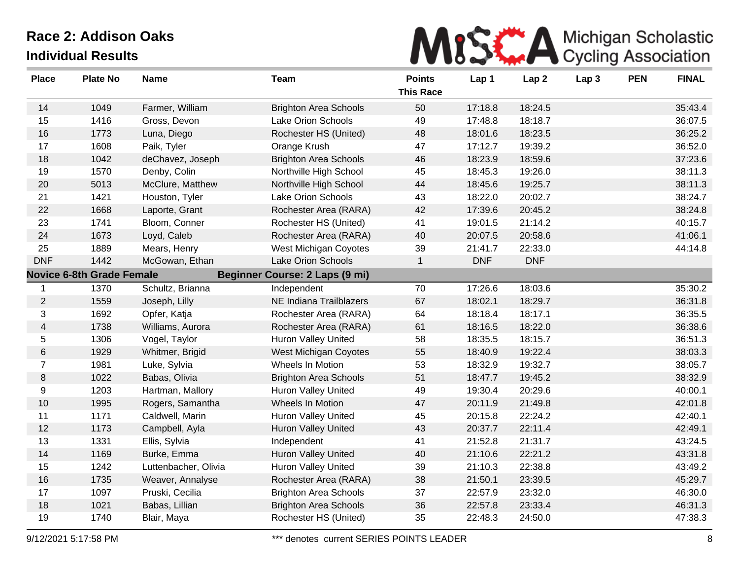| MISK A Michigan Scholastic |  |
|----------------------------|--|
|                            |  |

| <b>Place</b>   | <b>Plate No</b>                  | <b>Name</b>          | <b>Team</b>                           | <b>Points</b>    | Lap 1      | Lap <sub>2</sub> | Lap <sub>3</sub> | <b>PEN</b> | <b>FINAL</b> |
|----------------|----------------------------------|----------------------|---------------------------------------|------------------|------------|------------------|------------------|------------|--------------|
|                |                                  |                      |                                       | <b>This Race</b> |            |                  |                  |            |              |
| 14             | 1049                             | Farmer, William      | <b>Brighton Area Schools</b>          | 50               | 17:18.8    | 18:24.5          |                  |            | 35:43.4      |
| 15             | 1416                             | Gross, Devon         | Lake Orion Schools                    | 49               | 17:48.8    | 18:18.7          |                  |            | 36:07.5      |
| 16             | 1773                             | Luna, Diego          | Rochester HS (United)                 | 48               | 18:01.6    | 18:23.5          |                  |            | 36:25.2      |
| 17             | 1608                             | Paik, Tyler          | Orange Krush                          | 47               | 17:12.7    | 19:39.2          |                  |            | 36:52.0      |
| 18             | 1042                             | deChavez, Joseph     | <b>Brighton Area Schools</b>          | 46               | 18:23.9    | 18:59.6          |                  |            | 37:23.6      |
| 19             | 1570                             | Denby, Colin         | Northville High School                | 45               | 18:45.3    | 19:26.0          |                  |            | 38:11.3      |
| 20             | 5013                             | McClure, Matthew     | Northville High School                | 44               | 18:45.6    | 19:25.7          |                  |            | 38:11.3      |
| 21             | 1421                             | Houston, Tyler       | <b>Lake Orion Schools</b>             | 43               | 18:22.0    | 20:02.7          |                  |            | 38:24.7      |
| 22             | 1668                             | Laporte, Grant       | Rochester Area (RARA)                 | 42               | 17:39.6    | 20:45.2          |                  |            | 38:24.8      |
| 23             | 1741                             | Bloom, Conner        | Rochester HS (United)                 | 41               | 19:01.5    | 21:14.2          |                  |            | 40:15.7      |
| 24             | 1673                             | Loyd, Caleb          | Rochester Area (RARA)                 | 40               | 20:07.5    | 20:58.6          |                  |            | 41:06.1      |
| 25             | 1889                             | Mears, Henry         | West Michigan Coyotes                 | 39               | 21:41.7    | 22:33.0          |                  |            | 44:14.8      |
| <b>DNF</b>     | 1442                             | McGowan, Ethan       | <b>Lake Orion Schools</b>             | $\mathbf{1}$     | <b>DNF</b> | <b>DNF</b>       |                  |            |              |
|                | <b>Novice 6-8th Grade Female</b> |                      | <b>Beginner Course: 2 Laps (9 mi)</b> |                  |            |                  |                  |            |              |
| $\mathbf{1}$   | 1370                             | Schultz, Brianna     | Independent                           | 70               | 17:26.6    | 18:03.6          |                  |            | 35:30.2      |
| $\overline{c}$ | 1559                             | Joseph, Lilly        | NE Indiana Trailblazers               | 67               | 18:02.1    | 18:29.7          |                  |            | 36:31.8      |
| 3              | 1692                             | Opfer, Katja         | Rochester Area (RARA)                 | 64               | 18:18.4    | 18:17.1          |                  |            | 36:35.5      |
| $\overline{4}$ | 1738                             | Williams, Aurora     | Rochester Area (RARA)                 | 61               | 18:16.5    | 18:22.0          |                  |            | 36:38.6      |
| 5              | 1306                             | Vogel, Taylor        | Huron Valley United                   | 58               | 18:35.5    | 18:15.7          |                  |            | 36:51.3      |
| $\,6$          | 1929                             | Whitmer, Brigid      | West Michigan Coyotes                 | 55               | 18:40.9    | 19:22.4          |                  |            | 38:03.3      |
| $\overline{7}$ | 1981                             | Luke, Sylvia         | Wheels In Motion                      | 53               | 18:32.9    | 19:32.7          |                  |            | 38:05.7      |
| 8              | 1022                             | Babas, Olivia        | <b>Brighton Area Schools</b>          | 51               | 18:47.7    | 19:45.2          |                  |            | 38:32.9      |
| 9              | 1203                             | Hartman, Mallory     | <b>Huron Valley United</b>            | 49               | 19:30.4    | 20:29.6          |                  |            | 40:00.1      |
| $10$           | 1995                             | Rogers, Samantha     | Wheels In Motion                      | 47               | 20:11.9    | 21:49.8          |                  |            | 42:01.8      |
| 11             | 1171                             | Caldwell, Marin      | <b>Huron Valley United</b>            | 45               | 20:15.8    | 22:24.2          |                  |            | 42:40.1      |
| 12             | 1173                             | Campbell, Ayla       | <b>Huron Valley United</b>            | 43               | 20:37.7    | 22:11.4          |                  |            | 42:49.1      |
| 13             | 1331                             | Ellis, Sylvia        | Independent                           | 41               | 21:52.8    | 21:31.7          |                  |            | 43:24.5      |
| 14             | 1169                             | Burke, Emma          | <b>Huron Valley United</b>            | 40               | 21:10.6    | 22:21.2          |                  |            | 43:31.8      |
| 15             | 1242                             | Luttenbacher, Olivia | <b>Huron Valley United</b>            | 39               | 21:10.3    | 22:38.8          |                  |            | 43:49.2      |
| 16             | 1735                             | Weaver, Annalyse     | Rochester Area (RARA)                 | 38               | 21:50.1    | 23:39.5          |                  |            | 45:29.7      |
| 17             | 1097                             | Pruski, Cecilia      | <b>Brighton Area Schools</b>          | 37               | 22:57.9    | 23:32.0          |                  |            | 46:30.0      |
| 18             | 1021                             | Babas, Lillian       | <b>Brighton Area Schools</b>          | 36               | 22:57.8    | 23:33.4          |                  |            | 46:31.3      |
| 19             | 1740                             | Blair, Maya          | Rochester HS (United)                 | 35               | 22:48.3    | 24:50.0          |                  |            | 47:38.3      |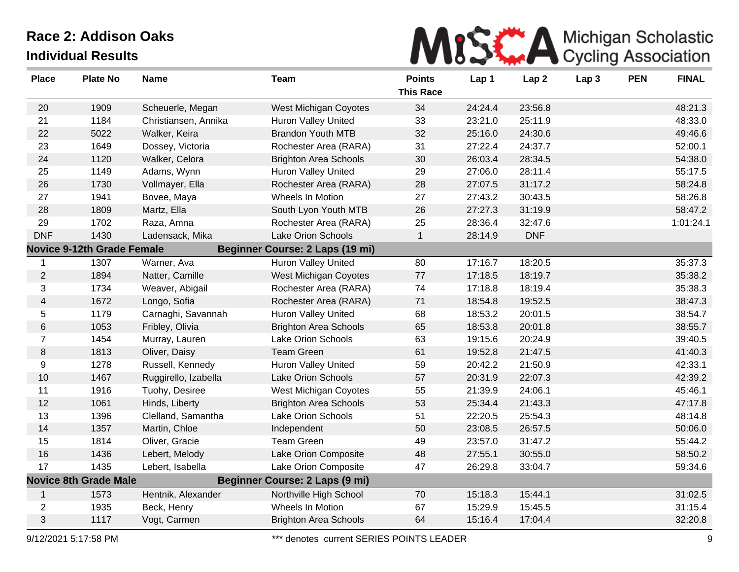| <b>Place</b>   | <b>Plate No</b>                   | <b>Name</b>          | Team                            | <b>Points</b><br><b>This Race</b> | Lap 1   | Lap <sub>2</sub> | Lap <sub>3</sub> | <b>PEN</b> | <b>FINAL</b> |
|----------------|-----------------------------------|----------------------|---------------------------------|-----------------------------------|---------|------------------|------------------|------------|--------------|
| 20             | 1909                              | Scheuerle, Megan     | West Michigan Coyotes           | 34                                | 24:24.4 | 23:56.8          |                  |            | 48:21.3      |
| 21             | 1184                              | Christiansen, Annika | <b>Huron Valley United</b>      | 33                                | 23:21.0 | 25:11.9          |                  |            | 48:33.0      |
| 22             | 5022                              | Walker, Keira        | <b>Brandon Youth MTB</b>        | 32                                | 25:16.0 | 24:30.6          |                  |            | 49:46.6      |
| 23             | 1649                              | Dossey, Victoria     | Rochester Area (RARA)           | 31                                | 27:22.4 | 24:37.7          |                  |            | 52:00.1      |
| 24             | 1120                              | Walker, Celora       | <b>Brighton Area Schools</b>    | 30                                | 26:03.4 | 28:34.5          |                  |            | 54:38.0      |
| 25             | 1149                              | Adams, Wynn          | <b>Huron Valley United</b>      | 29                                | 27:06.0 | 28:11.4          |                  |            | 55:17.5      |
| 26             | 1730                              | Vollmayer, Ella      | Rochester Area (RARA)           | 28                                | 27:07.5 | 31:17.2          |                  |            | 58:24.8      |
| 27             | 1941                              | Bovee, Maya          | Wheels In Motion                | 27                                | 27:43.2 | 30:43.5          |                  |            | 58:26.8      |
| 28             | 1809                              | Martz, Ella          | South Lyon Youth MTB            | 26                                | 27:27.3 | 31:19.9          |                  |            | 58:47.2      |
| 29             | 1702                              | Raza, Amna           | Rochester Area (RARA)           | 25                                | 28:36.4 | 32:47.6          |                  |            | 1:01:24.1    |
| <b>DNF</b>     | 1430                              | Ladensack, Mika      | <b>Lake Orion Schools</b>       | $\mathbf{1}$                      | 28:14.9 | <b>DNF</b>       |                  |            |              |
|                | <b>Novice 9-12th Grade Female</b> |                      | Beginner Course: 2 Laps (19 mi) |                                   |         |                  |                  |            |              |
| 1              | 1307                              | Warner, Ava          | Huron Valley United             | 80                                | 17:16.7 | 18:20.5          |                  |            | 35:37.3      |
| $\overline{2}$ | 1894                              | Natter, Camille      | <b>West Michigan Coyotes</b>    | 77                                | 17:18.5 | 18:19.7          |                  |            | 35:38.2      |
| 3              | 1734                              | Weaver, Abigail      | Rochester Area (RARA)           | 74                                | 17:18.8 | 18:19.4          |                  |            | 35:38.3      |
| $\overline{4}$ | 1672                              | Longo, Sofia         | Rochester Area (RARA)           | 71                                | 18:54.8 | 19:52.5          |                  |            | 38:47.3      |
| 5              | 1179                              | Carnaghi, Savannah   | <b>Huron Valley United</b>      | 68                                | 18:53.2 | 20:01.5          |                  |            | 38:54.7      |
| 6              | 1053                              | Fribley, Olivia      | <b>Brighton Area Schools</b>    | 65                                | 18:53.8 | 20:01.8          |                  |            | 38:55.7      |
| 7              | 1454                              | Murray, Lauren       | <b>Lake Orion Schools</b>       | 63                                | 19:15.6 | 20:24.9          |                  |            | 39:40.5      |
| 8              | 1813                              | Oliver, Daisy        | <b>Team Green</b>               | 61                                | 19:52.8 | 21:47.5          |                  |            | 41:40.3      |
| 9              | 1278                              | Russell, Kennedy     | Huron Valley United             | 59                                | 20:42.2 | 21:50.9          |                  |            | 42:33.1      |
| 10             | 1467                              | Ruggirello, Izabella | <b>Lake Orion Schools</b>       | 57                                | 20:31.9 | 22:07.3          |                  |            | 42:39.2      |
| 11             | 1916                              | Tuohy, Desiree       | West Michigan Coyotes           | 55                                | 21:39.9 | 24:06.1          |                  |            | 45:46.1      |
| 12             | 1061                              | Hinds, Liberty       | <b>Brighton Area Schools</b>    | 53                                | 25:34.4 | 21:43.3          |                  |            | 47:17.8      |
| 13             | 1396                              | Clelland, Samantha   | <b>Lake Orion Schools</b>       | 51                                | 22:20.5 | 25:54.3          |                  |            | 48:14.8      |
| 14             | 1357                              | Martin, Chloe        | Independent                     | 50                                | 23:08.5 | 26:57.5          |                  |            | 50:06.0      |
| 15             | 1814                              | Oliver, Gracie       | Team Green                      | 49                                | 23:57.0 | 31:47.2          |                  |            | 55:44.2      |
| 16             | 1436                              | Lebert, Melody       | Lake Orion Composite            | 48                                | 27:55.1 | 30:55.0          |                  |            | 58:50.2      |
| 17             | 1435                              | Lebert, Isabella     | Lake Orion Composite            | 47                                | 26:29.8 | 33:04.7          |                  |            | 59:34.6      |
|                | <b>Novice 8th Grade Male</b>      |                      | Beginner Course: 2 Laps (9 mi)  |                                   |         |                  |                  |            |              |
| $\mathbf{1}$   | 1573                              | Hentnik, Alexander   | Northville High School          | 70                                | 15:18.3 | 15:44.1          |                  |            | 31:02.5      |
| $\overline{c}$ | 1935                              | Beck, Henry          | Wheels In Motion                | 67                                | 15:29.9 | 15:45.5          |                  |            | 31:15.4      |
| $\mathfrak{S}$ | 1117                              | Vogt, Carmen         | <b>Brighton Area Schools</b>    | 64                                | 15:16.4 | 17:04.4          |                  |            | 32:20.8      |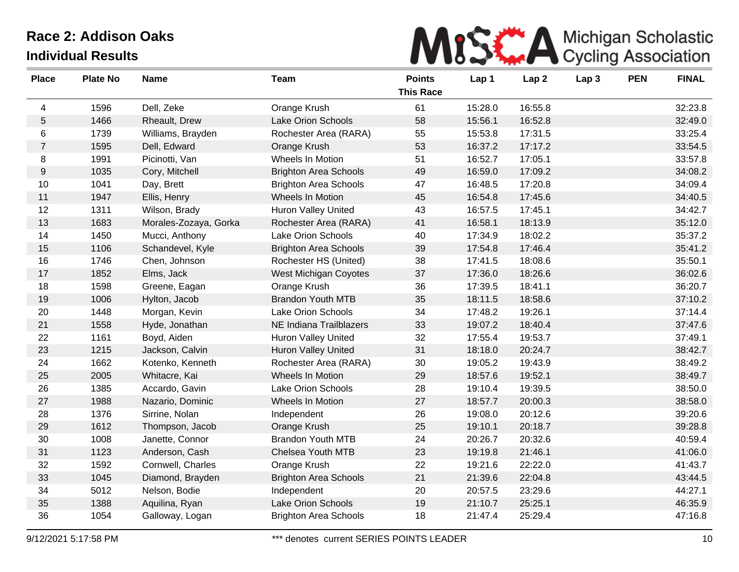| MISK A Michigan Scholastic |
|----------------------------|
|                            |

| <b>Place</b>     | <b>Plate No</b> | <b>Name</b>           | <b>Team</b>                  | <b>Points</b><br><b>This Race</b> | Lap 1   | Lap <sub>2</sub> | Lap <sub>3</sub> | <b>PEN</b> | <b>FINAL</b> |
|------------------|-----------------|-----------------------|------------------------------|-----------------------------------|---------|------------------|------------------|------------|--------------|
| 4                | 1596            | Dell, Zeke            | Orange Krush                 | 61                                | 15:28.0 | 16:55.8          |                  |            | 32:23.8      |
| 5                | 1466            | Rheault, Drew         | Lake Orion Schools           | 58                                | 15:56.1 | 16:52.8          |                  |            | 32:49.0      |
| 6                | 1739            | Williams, Brayden     | Rochester Area (RARA)        | 55                                | 15:53.8 | 17:31.5          |                  |            | 33:25.4      |
| $\overline{7}$   | 1595            | Dell, Edward          | Orange Krush                 | 53                                | 16:37.2 | 17:17.2          |                  |            | 33:54.5      |
| 8                | 1991            | Picinotti, Van        | Wheels In Motion             | 51                                | 16:52.7 | 17:05.1          |                  |            | 33:57.8      |
| $\boldsymbol{9}$ | 1035            | Cory, Mitchell        | <b>Brighton Area Schools</b> | 49                                | 16:59.0 | 17:09.2          |                  |            | 34:08.2      |
| 10               | 1041            | Day, Brett            | <b>Brighton Area Schools</b> | 47                                | 16:48.5 | 17:20.8          |                  |            | 34:09.4      |
| 11               | 1947            | Ellis, Henry          | Wheels In Motion             | 45                                | 16:54.8 | 17:45.6          |                  |            | 34:40.5      |
| 12               | 1311            | Wilson, Brady         | Huron Valley United          | 43                                | 16:57.5 | 17:45.1          |                  |            | 34:42.7      |
| 13               | 1683            | Morales-Zozaya, Gorka | Rochester Area (RARA)        | 41                                | 16:58.1 | 18:13.9          |                  |            | 35:12.0      |
| 14               | 1450            | Mucci, Anthony        | Lake Orion Schools           | 40                                | 17:34.9 | 18:02.2          |                  |            | 35:37.2      |
| 15               | 1106            | Schandevel, Kyle      | <b>Brighton Area Schools</b> | 39                                | 17:54.8 | 17:46.4          |                  |            | 35:41.2      |
| 16               | 1746            | Chen, Johnson         | Rochester HS (United)        | 38                                | 17:41.5 | 18:08.6          |                  |            | 35:50.1      |
| 17               | 1852            | Elms, Jack            | <b>West Michigan Coyotes</b> | 37                                | 17:36.0 | 18:26.6          |                  |            | 36:02.6      |
| 18               | 1598            | Greene, Eagan         | Orange Krush                 | 36                                | 17:39.5 | 18:41.1          |                  |            | 36:20.7      |
| 19               | 1006            | Hylton, Jacob         | <b>Brandon Youth MTB</b>     | 35                                | 18:11.5 | 18:58.6          |                  |            | 37:10.2      |
| 20               | 1448            | Morgan, Kevin         | Lake Orion Schools           | 34                                | 17:48.2 | 19:26.1          |                  |            | 37:14.4      |
| 21               | 1558            | Hyde, Jonathan        | NE Indiana Trailblazers      | 33                                | 19:07.2 | 18:40.4          |                  |            | 37:47.6      |
| 22               | 1161            | Boyd, Aiden           | Huron Valley United          | 32                                | 17:55.4 | 19:53.7          |                  |            | 37:49.1      |
| 23               | 1215            | Jackson, Calvin       | Huron Valley United          | 31                                | 18:18.0 | 20:24.7          |                  |            | 38:42.7      |
| 24               | 1662            | Kotenko, Kenneth      | Rochester Area (RARA)        | 30                                | 19:05.2 | 19:43.9          |                  |            | 38:49.2      |
| 25               | 2005            | Whitacre, Kai         | Wheels In Motion             | 29                                | 18:57.6 | 19:52.1          |                  |            | 38:49.7      |
| 26               | 1385            | Accardo, Gavin        | Lake Orion Schools           | 28                                | 19:10.4 | 19:39.5          |                  |            | 38:50.0      |
| 27               | 1988            | Nazario, Dominic      | Wheels In Motion             | 27                                | 18:57.7 | 20:00.3          |                  |            | 38:58.0      |
| 28               | 1376            | Sirrine, Nolan        | Independent                  | 26                                | 19:08.0 | 20:12.6          |                  |            | 39:20.6      |
| 29               | 1612            | Thompson, Jacob       | Orange Krush                 | 25                                | 19:10.1 | 20:18.7          |                  |            | 39:28.8      |
| 30               | 1008            | Janette, Connor       | <b>Brandon Youth MTB</b>     | 24                                | 20:26.7 | 20:32.6          |                  |            | 40:59.4      |
| 31               | 1123            | Anderson, Cash        | Chelsea Youth MTB            | 23                                | 19:19.8 | 21:46.1          |                  |            | 41:06.0      |
| 32               | 1592            | Cornwell, Charles     | Orange Krush                 | 22                                | 19:21.6 | 22:22.0          |                  |            | 41:43.7      |
| 33               | 1045            | Diamond, Brayden      | <b>Brighton Area Schools</b> | 21                                | 21:39.6 | 22:04.8          |                  |            | 43:44.5      |
| 34               | 5012            | Nelson, Bodie         | Independent                  | 20                                | 20:57.5 | 23:29.6          |                  |            | 44:27.1      |
| 35               | 1388            | Aquilina, Ryan        | Lake Orion Schools           | 19                                | 21:10.7 | 25:25.1          |                  |            | 46:35.9      |
| 36               | 1054            | Galloway, Logan       | <b>Brighton Area Schools</b> | 18                                | 21:47.4 | 25:29.4          |                  |            | 47:16.8      |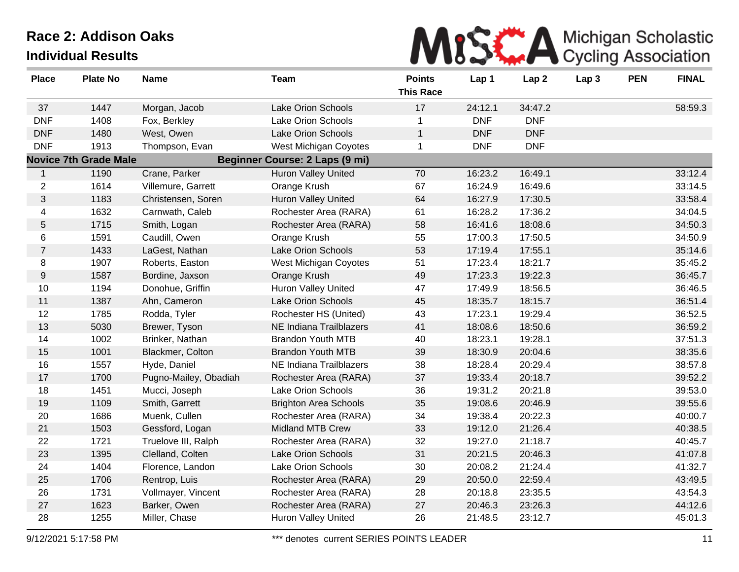

| <b>Place</b>     | <b>Plate No</b>              | <b>Name</b>           | <b>Team</b>                           | <b>Points</b><br><b>This Race</b> | Lap 1      | Lap <sub>2</sub> | Lap <sub>3</sub> | <b>PEN</b> | <b>FINAL</b> |
|------------------|------------------------------|-----------------------|---------------------------------------|-----------------------------------|------------|------------------|------------------|------------|--------------|
| 37               | 1447                         | Morgan, Jacob         | <b>Lake Orion Schools</b>             | 17                                | 24:12.1    | 34:47.2          |                  |            | 58:59.3      |
| <b>DNF</b>       | 1408                         | Fox, Berkley          | <b>Lake Orion Schools</b>             | 1                                 | <b>DNF</b> | <b>DNF</b>       |                  |            |              |
| <b>DNF</b>       | 1480                         | West, Owen            | Lake Orion Schools                    | $\mathbf{1}$                      | <b>DNF</b> | <b>DNF</b>       |                  |            |              |
| <b>DNF</b>       | 1913                         | Thompson, Evan        | West Michigan Coyotes                 | $\mathbf{1}$                      | <b>DNF</b> | <b>DNF</b>       |                  |            |              |
|                  | <b>Novice 7th Grade Male</b> |                       | <b>Beginner Course: 2 Laps (9 mi)</b> |                                   |            |                  |                  |            |              |
| $\mathbf{1}$     | 1190                         | Crane, Parker         | Huron Valley United                   | 70                                | 16:23.2    | 16:49.1          |                  |            | 33:12.4      |
| $\overline{2}$   | 1614                         | Villemure, Garrett    | Orange Krush                          | 67                                | 16:24.9    | 16:49.6          |                  |            | 33:14.5      |
| 3                | 1183                         | Christensen, Soren    | <b>Huron Valley United</b>            | 64                                | 16:27.9    | 17:30.5          |                  |            | 33:58.4      |
| 4                | 1632                         | Carnwath, Caleb       | Rochester Area (RARA)                 | 61                                | 16:28.2    | 17:36.2          |                  |            | 34:04.5      |
| 5                | 1715                         | Smith, Logan          | Rochester Area (RARA)                 | 58                                | 16:41.6    | 18:08.6          |                  |            | 34:50.3      |
| 6                | 1591                         | Caudill, Owen         | Orange Krush                          | 55                                | 17:00.3    | 17:50.5          |                  |            | 34:50.9      |
| $\overline{7}$   | 1433                         | LaGest, Nathan        | Lake Orion Schools                    | 53                                | 17:19.4    | 17:55.1          |                  |            | 35:14.6      |
| 8                | 1907                         | Roberts, Easton       | West Michigan Coyotes                 | 51                                | 17:23.4    | 18:21.7          |                  |            | 35:45.2      |
| $\boldsymbol{9}$ | 1587                         | Bordine, Jaxson       | Orange Krush                          | 49                                | 17:23.3    | 19:22.3          |                  |            | 36:45.7      |
| 10               | 1194                         | Donohue, Griffin      | Huron Valley United                   | 47                                | 17:49.9    | 18:56.5          |                  |            | 36:46.5      |
| 11               | 1387                         | Ahn, Cameron          | <b>Lake Orion Schools</b>             | 45                                | 18:35.7    | 18:15.7          |                  |            | 36:51.4      |
| 12               | 1785                         | Rodda, Tyler          | Rochester HS (United)                 | 43                                | 17:23.1    | 19:29.4          |                  |            | 36:52.5      |
| 13               | 5030                         | Brewer, Tyson         | NE Indiana Trailblazers               | 41                                | 18:08.6    | 18:50.6          |                  |            | 36:59.2      |
| 14               | 1002                         | Brinker, Nathan       | <b>Brandon Youth MTB</b>              | 40                                | 18:23.1    | 19:28.1          |                  |            | 37:51.3      |
| 15               | 1001                         | Blackmer, Colton      | <b>Brandon Youth MTB</b>              | 39                                | 18:30.9    | 20:04.6          |                  |            | 38:35.6      |
| 16               | 1557                         | Hyde, Daniel          | NE Indiana Trailblazers               | 38                                | 18:28.4    | 20:29.4          |                  |            | 38:57.8      |
| 17               | 1700                         | Pugno-Mailey, Obadiah | Rochester Area (RARA)                 | 37                                | 19:33.4    | 20:18.7          |                  |            | 39:52.2      |
| 18               | 1451                         | Mucci, Joseph         | Lake Orion Schools                    | 36                                | 19:31.2    | 20:21.8          |                  |            | 39:53.0      |
| 19               | 1109                         | Smith, Garrett        | <b>Brighton Area Schools</b>          | 35                                | 19:08.6    | 20:46.9          |                  |            | 39:55.6      |
| 20               | 1686                         | Muenk, Cullen         | Rochester Area (RARA)                 | 34                                | 19:38.4    | 20:22.3          |                  |            | 40:00.7      |
| 21               | 1503                         | Gessford, Logan       | <b>Midland MTB Crew</b>               | 33                                | 19:12.0    | 21:26.4          |                  |            | 40:38.5      |
| 22               | 1721                         | Truelove III, Ralph   | Rochester Area (RARA)                 | 32                                | 19:27.0    | 21:18.7          |                  |            | 40:45.7      |
| 23               | 1395                         | Clelland, Colten      | <b>Lake Orion Schools</b>             | 31                                | 20:21.5    | 20:46.3          |                  |            | 41:07.8      |
| 24               | 1404                         | Florence, Landon      | Lake Orion Schools                    | 30                                | 20:08.2    | 21:24.4          |                  |            | 41:32.7      |
| 25               | 1706                         | Rentrop, Luis         | Rochester Area (RARA)                 | 29                                | 20:50.0    | 22:59.4          |                  |            | 43:49.5      |
| 26               | 1731                         | Vollmayer, Vincent    | Rochester Area (RARA)                 | 28                                | 20:18.8    | 23:35.5          |                  |            | 43:54.3      |
| 27               | 1623                         | Barker, Owen          | Rochester Area (RARA)                 | 27                                | 20:46.3    | 23:26.3          |                  |            | 44:12.6      |
| 28               | 1255                         | Miller, Chase         | <b>Huron Valley United</b>            | 26                                | 21:48.5    | 23:12.7          |                  |            | 45:01.3      |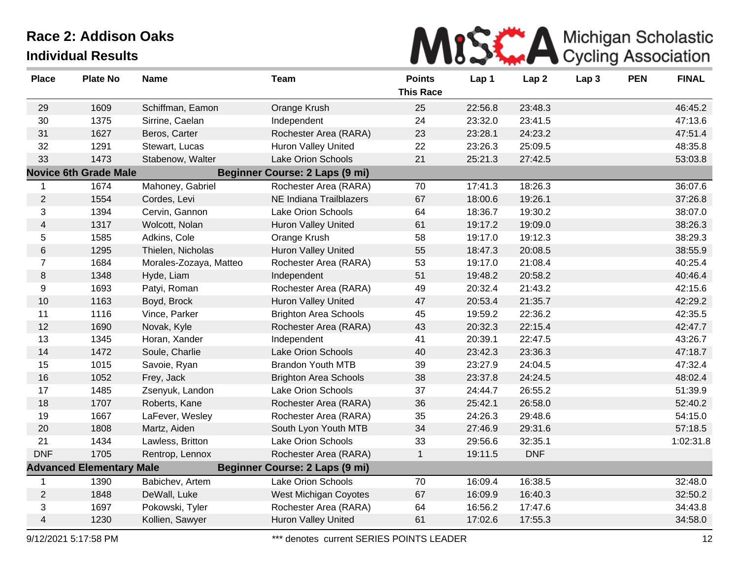

| <b>Place</b>   | <b>Plate No</b>                 | <b>Name</b>            | <b>Team</b>                           | <b>Points</b><br><b>This Race</b> | Lap 1   | Lap <sub>2</sub> | Lap <sub>3</sub> | <b>PEN</b> | <b>FINAL</b> |
|----------------|---------------------------------|------------------------|---------------------------------------|-----------------------------------|---------|------------------|------------------|------------|--------------|
| 29             | 1609                            | Schiffman, Eamon       | Orange Krush                          | 25                                | 22:56.8 | 23:48.3          |                  |            | 46:45.2      |
| 30             | 1375                            | Sirrine, Caelan        | Independent                           | 24                                | 23:32.0 | 23:41.5          |                  |            | 47:13.6      |
| 31             | 1627                            | Beros, Carter          | Rochester Area (RARA)                 | 23                                | 23:28.1 | 24:23.2          |                  |            | 47:51.4      |
| 32             | 1291                            | Stewart, Lucas         | <b>Huron Valley United</b>            | 22                                | 23:26.3 | 25:09.5          |                  |            | 48:35.8      |
| 33             | 1473                            | Stabenow, Walter       | Lake Orion Schools                    | 21                                | 25:21.3 | 27:42.5          |                  |            | 53:03.8      |
|                | <b>Novice 6th Grade Male</b>    |                        | <b>Beginner Course: 2 Laps (9 mi)</b> |                                   |         |                  |                  |            |              |
| $\mathbf 1$    | 1674                            | Mahoney, Gabriel       | Rochester Area (RARA)                 | 70                                | 17:41.3 | 18:26.3          |                  |            | 36:07.6      |
| $\overline{2}$ | 1554                            | Cordes, Levi           | NE Indiana Trailblazers               | 67                                | 18:00.6 | 19:26.1          |                  |            | 37:26.8      |
| 3              | 1394                            | Cervin, Gannon         | Lake Orion Schools                    | 64                                | 18:36.7 | 19:30.2          |                  |            | 38:07.0      |
| $\overline{4}$ | 1317                            | Wolcott, Nolan         | <b>Huron Valley United</b>            | 61                                | 19:17.2 | 19:09.0          |                  |            | 38:26.3      |
| 5              | 1585                            | Adkins, Cole           | Orange Krush                          | 58                                | 19:17.0 | 19:12.3          |                  |            | 38:29.3      |
| 6              | 1295                            | Thielen, Nicholas      | Huron Valley United                   | 55                                | 18:47.3 | 20:08.5          |                  |            | 38:55.9      |
| $\overline{7}$ | 1684                            | Morales-Zozaya, Matteo | Rochester Area (RARA)                 | 53                                | 19:17.0 | 21:08.4          |                  |            | 40:25.4      |
| $\,8\,$        | 1348                            | Hyde, Liam             | Independent                           | 51                                | 19:48.2 | 20:58.2          |                  |            | 40:46.4      |
| 9              | 1693                            | Patyi, Roman           | Rochester Area (RARA)                 | 49                                | 20:32.4 | 21:43.2          |                  |            | 42:15.6      |
| 10             | 1163                            | Boyd, Brock            | Huron Valley United                   | 47                                | 20:53.4 | 21:35.7          |                  |            | 42:29.2      |
| 11             | 1116                            | Vince, Parker          | <b>Brighton Area Schools</b>          | 45                                | 19:59.2 | 22:36.2          |                  |            | 42:35.5      |
| 12             | 1690                            | Novak, Kyle            | Rochester Area (RARA)                 | 43                                | 20:32.3 | 22:15.4          |                  |            | 42:47.7      |
| 13             | 1345                            | Horan, Xander          | Independent                           | 41                                | 20:39.1 | 22:47.5          |                  |            | 43:26.7      |
| 14             | 1472                            | Soule, Charlie         | Lake Orion Schools                    | 40                                | 23:42.3 | 23:36.3          |                  |            | 47:18.7      |
| 15             | 1015                            | Savoie, Ryan           | <b>Brandon Youth MTB</b>              | 39                                | 23:27.9 | 24:04.5          |                  |            | 47:32.4      |
| 16             | 1052                            | Frey, Jack             | <b>Brighton Area Schools</b>          | 38                                | 23:37.8 | 24:24.5          |                  |            | 48:02.4      |
| 17             | 1485                            | Zsenyuk, Landon        | Lake Orion Schools                    | 37                                | 24:44.7 | 26:55.2          |                  |            | 51:39.9      |
| 18             | 1707                            | Roberts, Kane          | Rochester Area (RARA)                 | 36                                | 25:42.1 | 26:58.0          |                  |            | 52:40.2      |
| 19             | 1667                            | LaFever, Wesley        | Rochester Area (RARA)                 | 35                                | 24:26.3 | 29:48.6          |                  |            | 54:15.0      |
| 20             | 1808                            | Martz, Aiden           | South Lyon Youth MTB                  | 34                                | 27:46.9 | 29:31.6          |                  |            | 57:18.5      |
| 21             | 1434                            | Lawless, Britton       | Lake Orion Schools                    | 33                                | 29:56.6 | 32:35.1          |                  |            | 1:02:31.8    |
| <b>DNF</b>     | 1705                            | Rentrop, Lennox        | Rochester Area (RARA)                 | $\mathbf{1}$                      | 19:11.5 | <b>DNF</b>       |                  |            |              |
|                | <b>Advanced Elementary Male</b> |                        | Beginner Course: 2 Laps (9 mi)        |                                   |         |                  |                  |            |              |
|                | 1390                            | Babichev, Artem        | Lake Orion Schools                    | 70                                | 16:09.4 | 16:38.5          |                  |            | 32:48.0      |
| $\mathbf{2}$   | 1848                            | DeWall, Luke           | West Michigan Coyotes                 | 67                                | 16:09.9 | 16:40.3          |                  |            | 32:50.2      |
| 3              | 1697                            | Pokowski, Tyler        | Rochester Area (RARA)                 | 64                                | 16:56.2 | 17:47.6          |                  |            | 34:43.8      |
| $\overline{4}$ | 1230                            | Kollien, Sawyer        | <b>Huron Valley United</b>            | 61                                | 17:02.6 | 17:55.3          |                  |            | 34:58.0      |

9/12/2021 5:17:58 PM **\*\*\*** denotes current SERIES POINTS LEADER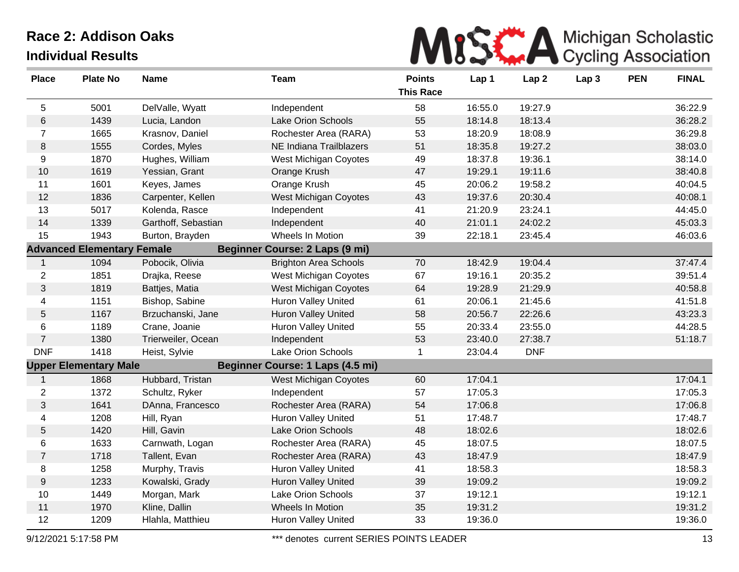

| <b>Place</b>    | <b>Plate No</b>                   | <b>Name</b>         | <b>Team</b>                           | <b>Points</b><br><b>This Race</b> | Lap 1   | Lap2       | Lap <sub>3</sub> | <b>PEN</b> | <b>FINAL</b> |
|-----------------|-----------------------------------|---------------------|---------------------------------------|-----------------------------------|---------|------------|------------------|------------|--------------|
| 5               | 5001                              | DelValle, Wyatt     | Independent                           | 58                                | 16:55.0 | 19:27.9    |                  |            | 36:22.9      |
| 6               | 1439                              | Lucia, Landon       | Lake Orion Schools                    | 55                                | 18:14.8 | 18:13.4    |                  |            | 36:28.2      |
| $\overline{7}$  | 1665                              | Krasnov, Daniel     | Rochester Area (RARA)                 | 53                                | 18:20.9 | 18:08.9    |                  |            | 36:29.8      |
| 8               | 1555                              | Cordes, Myles       | NE Indiana Trailblazers               | 51                                | 18:35.8 | 19:27.2    |                  |            | 38:03.0      |
| 9               | 1870                              | Hughes, William     | West Michigan Coyotes                 | 49                                | 18:37.8 | 19:36.1    |                  |            | 38:14.0      |
| 10              | 1619                              | Yessian, Grant      | Orange Krush                          | 47                                | 19:29.1 | 19:11.6    |                  |            | 38:40.8      |
| 11              | 1601                              | Keyes, James        | Orange Krush                          | 45                                | 20:06.2 | 19:58.2    |                  |            | 40:04.5      |
| 12              | 1836                              | Carpenter, Kellen   | <b>West Michigan Coyotes</b>          | 43                                | 19:37.6 | 20:30.4    |                  |            | 40:08.1      |
| 13              | 5017                              | Kolenda, Rasce      | Independent                           | 41                                | 21:20.9 | 23:24.1    |                  |            | 44:45.0      |
| 14              | 1339                              | Garthoff, Sebastian | Independent                           | 40                                | 21:01.1 | 24:02.2    |                  |            | 45:03.3      |
| 15              | 1943                              | Burton, Brayden     | Wheels In Motion                      | 39                                | 22:18.1 | 23:45.4    |                  |            | 46:03.6      |
|                 | <b>Advanced Elementary Female</b> |                     | <b>Beginner Course: 2 Laps (9 mi)</b> |                                   |         |            |                  |            |              |
| $\mathbf{1}$    | 1094                              | Pobocik, Olivia     | <b>Brighton Area Schools</b>          | 70                                | 18:42.9 | 19:04.4    |                  |            | 37:47.4      |
| $\overline{c}$  | 1851                              | Drajka, Reese       | West Michigan Coyotes                 | 67                                | 19:16.1 | 20:35.2    |                  |            | 39:51.4      |
| 3               | 1819                              | Battjes, Matia      | <b>West Michigan Coyotes</b>          | 64                                | 19:28.9 | 21:29.9    |                  |            | 40:58.8      |
| $\overline{4}$  | 1151                              | Bishop, Sabine      | Huron Valley United                   | 61                                | 20:06.1 | 21:45.6    |                  |            | 41:51.8      |
| 5               | 1167                              | Brzuchanski, Jane   | <b>Huron Valley United</b>            | 58                                | 20:56.7 | 22:26.6    |                  |            | 43:23.3      |
| 6               | 1189                              | Crane, Joanie       | <b>Huron Valley United</b>            | 55                                | 20:33.4 | 23:55.0    |                  |            | 44:28.5      |
| $\overline{7}$  | 1380                              | Trierweiler, Ocean  | Independent                           | 53                                | 23:40.0 | 27:38.7    |                  |            | 51:18.7      |
| <b>DNF</b>      | 1418                              | Heist, Sylvie       | Lake Orion Schools                    | 1                                 | 23:04.4 | <b>DNF</b> |                  |            |              |
|                 | <b>Upper Elementary Male</b>      |                     | Beginner Course: 1 Laps (4.5 mi)      |                                   |         |            |                  |            |              |
| $\mathbf{1}$    | 1868                              | Hubbard, Tristan    | West Michigan Coyotes                 | 60                                | 17:04.1 |            |                  |            | 17:04.1      |
| $\overline{2}$  | 1372                              | Schultz, Ryker      | Independent                           | 57                                | 17:05.3 |            |                  |            | 17:05.3      |
| 3               | 1641                              | DAnna, Francesco    | Rochester Area (RARA)                 | 54                                | 17:06.8 |            |                  |            | 17:06.8      |
| 4               | 1208                              | Hill, Ryan          | Huron Valley United                   | 51                                | 17:48.7 |            |                  |            | 17:48.7      |
| $5\phantom{.0}$ | 1420                              | Hill, Gavin         | Lake Orion Schools                    | 48                                | 18:02.6 |            |                  |            | 18:02.6      |
| 6               | 1633                              | Carnwath, Logan     | Rochester Area (RARA)                 | 45                                | 18:07.5 |            |                  |            | 18:07.5      |
| $\overline{7}$  | 1718                              | Tallent, Evan       | Rochester Area (RARA)                 | 43                                | 18:47.9 |            |                  |            | 18:47.9      |
| 8               | 1258                              | Murphy, Travis      | Huron Valley United                   | 41                                | 18:58.3 |            |                  |            | 18:58.3      |
| 9               | 1233                              | Kowalski, Grady     | <b>Huron Valley United</b>            | 39                                | 19:09.2 |            |                  |            | 19:09.2      |
| 10              | 1449                              | Morgan, Mark        | Lake Orion Schools                    | 37                                | 19:12.1 |            |                  |            | 19:12.1      |
| 11              | 1970                              | Kline, Dallin       | Wheels In Motion                      | 35                                | 19:31.2 |            |                  |            | 19:31.2      |
| 12              | 1209                              | Hlahla, Matthieu    | <b>Huron Valley United</b>            | 33                                | 19:36.0 |            |                  |            | 19:36.0      |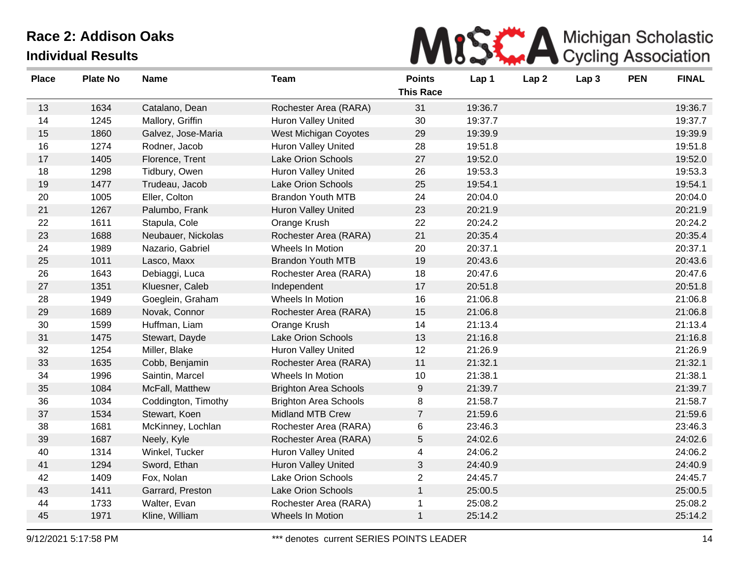

| <b>Place</b> | <b>Plate No</b> | <b>Name</b>         | <b>Team</b>                  | <b>Points</b><br><b>This Race</b> | Lap 1   | Lap <sub>2</sub> | Lap <sub>3</sub> | <b>PEN</b> | <b>FINAL</b> |
|--------------|-----------------|---------------------|------------------------------|-----------------------------------|---------|------------------|------------------|------------|--------------|
| 13           | 1634            | Catalano, Dean      | Rochester Area (RARA)        | 31                                | 19:36.7 |                  |                  |            | 19:36.7      |
| 14           | 1245            | Mallory, Griffin    | <b>Huron Valley United</b>   | 30                                | 19:37.7 |                  |                  |            | 19:37.7      |
| 15           | 1860            | Galvez, Jose-Maria  | West Michigan Coyotes        | 29                                | 19:39.9 |                  |                  |            | 19:39.9      |
| 16           | 1274            | Rodner, Jacob       | <b>Huron Valley United</b>   | 28                                | 19:51.8 |                  |                  |            | 19:51.8      |
| 17           | 1405            | Florence, Trent     | Lake Orion Schools           | 27                                | 19:52.0 |                  |                  |            | 19:52.0      |
| 18           | 1298            | Tidbury, Owen       | Huron Valley United          | 26                                | 19:53.3 |                  |                  |            | 19:53.3      |
| 19           | 1477            | Trudeau, Jacob      | Lake Orion Schools           | 25                                | 19:54.1 |                  |                  |            | 19:54.1      |
| 20           | 1005            | Eller, Colton       | <b>Brandon Youth MTB</b>     | 24                                | 20:04.0 |                  |                  |            | 20:04.0      |
| 21           | 1267            | Palumbo, Frank      | <b>Huron Valley United</b>   | 23                                | 20:21.9 |                  |                  |            | 20:21.9      |
| 22           | 1611            | Stapula, Cole       | Orange Krush                 | 22                                | 20:24.2 |                  |                  |            | 20:24.2      |
| 23           | 1688            | Neubauer, Nickolas  | Rochester Area (RARA)        | 21                                | 20:35.4 |                  |                  |            | 20:35.4      |
| 24           | 1989            | Nazario, Gabriel    | Wheels In Motion             | 20                                | 20:37.1 |                  |                  |            | 20:37.1      |
| 25           | 1011            | Lasco, Maxx         | <b>Brandon Youth MTB</b>     | 19                                | 20:43.6 |                  |                  |            | 20:43.6      |
| 26           | 1643            | Debiaggi, Luca      | Rochester Area (RARA)        | 18                                | 20:47.6 |                  |                  |            | 20:47.6      |
| 27           | 1351            | Kluesner, Caleb     | Independent                  | 17                                | 20:51.8 |                  |                  |            | 20:51.8      |
| 28           | 1949            | Goeglein, Graham    | Wheels In Motion             | 16                                | 21:06.8 |                  |                  |            | 21:06.8      |
| 29           | 1689            | Novak, Connor       | Rochester Area (RARA)        | 15                                | 21:06.8 |                  |                  |            | 21:06.8      |
| 30           | 1599            | Huffman, Liam       | Orange Krush                 | 14                                | 21:13.4 |                  |                  |            | 21:13.4      |
| 31           | 1475            | Stewart, Dayde      | Lake Orion Schools           | 13                                | 21:16.8 |                  |                  |            | 21:16.8      |
| 32           | 1254            | Miller, Blake       | Huron Valley United          | 12                                | 21:26.9 |                  |                  |            | 21:26.9      |
| 33           | 1635            | Cobb, Benjamin      | Rochester Area (RARA)        | 11                                | 21:32.1 |                  |                  |            | 21:32.1      |
| 34           | 1996            | Saintin, Marcel     | Wheels In Motion             | 10                                | 21:38.1 |                  |                  |            | 21:38.1      |
| 35           | 1084            | McFall, Matthew     | <b>Brighton Area Schools</b> | 9                                 | 21:39.7 |                  |                  |            | 21:39.7      |
| 36           | 1034            | Coddington, Timothy | <b>Brighton Area Schools</b> | 8                                 | 21:58.7 |                  |                  |            | 21:58.7      |
| 37           | 1534            | Stewart, Koen       | Midland MTB Crew             | $\overline{7}$                    | 21:59.6 |                  |                  |            | 21:59.6      |
| 38           | 1681            | McKinney, Lochlan   | Rochester Area (RARA)        | 6                                 | 23:46.3 |                  |                  |            | 23:46.3      |
| 39           | 1687            | Neely, Kyle         | Rochester Area (RARA)        | $\sqrt{5}$                        | 24:02.6 |                  |                  |            | 24:02.6      |
| 40           | 1314            | Winkel, Tucker      | Huron Valley United          | 4                                 | 24:06.2 |                  |                  |            | 24:06.2      |
| 41           | 1294            | Sword, Ethan        | <b>Huron Valley United</b>   | 3                                 | 24:40.9 |                  |                  |            | 24:40.9      |
| 42           | 1409            | Fox, Nolan          | Lake Orion Schools           | $\overline{2}$                    | 24:45.7 |                  |                  |            | 24:45.7      |
| 43           | 1411            | Garrard, Preston    | Lake Orion Schools           | $\mathbf{1}$                      | 25:00.5 |                  |                  |            | 25:00.5      |
| 44           | 1733            | Walter, Evan        | Rochester Area (RARA)        | $\mathbf{1}$                      | 25:08.2 |                  |                  |            | 25:08.2      |
| 45           | 1971            | Kline, William      | <b>Wheels In Motion</b>      | $\mathbf{1}$                      | 25:14.2 |                  |                  |            | 25:14.2      |
|              |                 |                     |                              |                                   |         |                  |                  |            |              |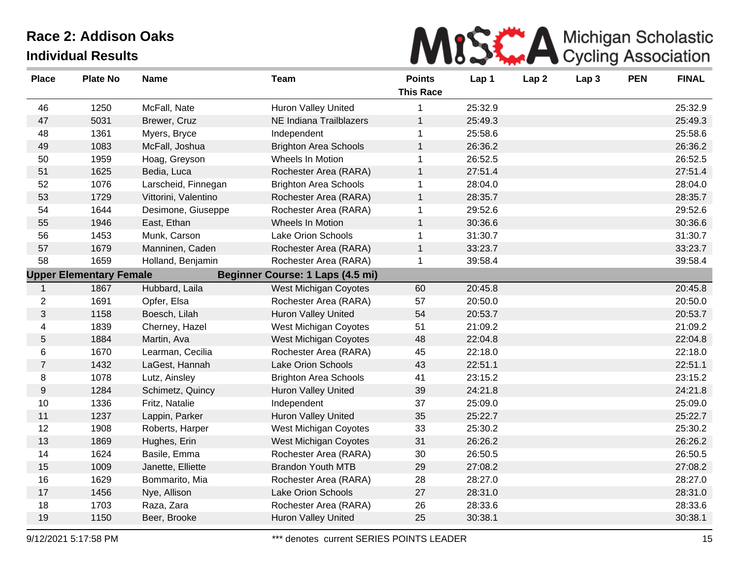

| <b>Place</b>   | <b>Plate No</b>                | <b>Name</b>          | <b>Team</b>                      | <b>Points</b><br><b>This Race</b> | Lap 1   | Lap <sub>2</sub> | Lap <sub>3</sub> | <b>PEN</b> | <b>FINAL</b> |
|----------------|--------------------------------|----------------------|----------------------------------|-----------------------------------|---------|------------------|------------------|------------|--------------|
| 46             | 1250                           | McFall, Nate         | <b>Huron Valley United</b>       |                                   | 25:32.9 |                  |                  |            | 25:32.9      |
| 47             | 5031                           | Brewer, Cruz         | NE Indiana Trailblazers          | $\mathbf{1}$                      | 25:49.3 |                  |                  |            | 25:49.3      |
| 48             | 1361                           | Myers, Bryce         | Independent                      | 1                                 | 25:58.6 |                  |                  |            | 25:58.6      |
| 49             | 1083                           | McFall, Joshua       | <b>Brighton Area Schools</b>     | $\mathbf{1}$                      | 26:36.2 |                  |                  |            | 26:36.2      |
| 50             | 1959                           | Hoag, Greyson        | Wheels In Motion                 | $\mathbf 1$                       | 26:52.5 |                  |                  |            | 26:52.5      |
| 51             | 1625                           | Bedia, Luca          | Rochester Area (RARA)            | $\mathbf{1}$                      | 27:51.4 |                  |                  |            | 27:51.4      |
| 52             | 1076                           | Larscheid, Finnegan  | <b>Brighton Area Schools</b>     | 1                                 | 28:04.0 |                  |                  |            | 28:04.0      |
| 53             | 1729                           | Vittorini, Valentino | Rochester Area (RARA)            | $\mathbf{1}$                      | 28:35.7 |                  |                  |            | 28:35.7      |
| 54             | 1644                           | Desimone, Giuseppe   | Rochester Area (RARA)            | 1                                 | 29:52.6 |                  |                  |            | 29:52.6      |
| 55             | 1946                           | East, Ethan          | Wheels In Motion                 | $\mathbf{1}$                      | 30:36.6 |                  |                  |            | 30:36.6      |
| 56             | 1453                           | Munk, Carson         | Lake Orion Schools               | 1                                 | 31:30.7 |                  |                  |            | 31:30.7      |
| 57             | 1679                           | Manninen, Caden      | Rochester Area (RARA)            | $\mathbf{1}$                      | 33:23.7 |                  |                  |            | 33:23.7      |
| 58             | 1659                           | Holland, Benjamin    | Rochester Area (RARA)            | 1                                 | 39:58.4 |                  |                  |            | 39:58.4      |
|                | <b>Upper Elementary Female</b> |                      | Beginner Course: 1 Laps (4.5 mi) |                                   |         |                  |                  |            |              |
| $\mathbf 1$    | 1867                           | Hubbard, Laila       | West Michigan Coyotes            | 60                                | 20:45.8 |                  |                  |            | 20:45.8      |
| $\overline{2}$ | 1691                           | Opfer, Elsa          | Rochester Area (RARA)            | 57                                | 20:50.0 |                  |                  |            | 20:50.0      |
| 3              | 1158                           | Boesch, Lilah        | <b>Huron Valley United</b>       | 54                                | 20:53.7 |                  |                  |            | 20:53.7      |
| 4              | 1839                           | Cherney, Hazel       | West Michigan Coyotes            | 51                                | 21:09.2 |                  |                  |            | 21:09.2      |
| $\mathbf 5$    | 1884                           | Martin, Ava          | West Michigan Coyotes            | 48                                | 22:04.8 |                  |                  |            | 22:04.8      |
| 6              | 1670                           | Learman, Cecilia     | Rochester Area (RARA)            | 45                                | 22:18.0 |                  |                  |            | 22:18.0      |
| $\overline{7}$ | 1432                           | LaGest, Hannah       | Lake Orion Schools               | 43                                | 22:51.1 |                  |                  |            | 22:51.1      |
| 8              | 1078                           | Lutz, Ainsley        | <b>Brighton Area Schools</b>     | 41                                | 23:15.2 |                  |                  |            | 23:15.2      |
| $9\,$          | 1284                           | Schimetz, Quincy     | <b>Huron Valley United</b>       | 39                                | 24:21.8 |                  |                  |            | 24:21.8      |
| 10             | 1336                           | Fritz, Natalie       | Independent                      | 37                                | 25:09.0 |                  |                  |            | 25:09.0      |
| 11             | 1237                           | Lappin, Parker       | <b>Huron Valley United</b>       | 35                                | 25:22.7 |                  |                  |            | 25:22.7      |
| 12             | 1908                           | Roberts, Harper      | West Michigan Coyotes            | 33                                | 25:30.2 |                  |                  |            | 25:30.2      |
| 13             | 1869                           | Hughes, Erin         | West Michigan Coyotes            | 31                                | 26:26.2 |                  |                  |            | 26:26.2      |
| 14             | 1624                           | Basile, Emma         | Rochester Area (RARA)            | $30\,$                            | 26:50.5 |                  |                  |            | 26:50.5      |
| 15             | 1009                           | Janette, Elliette    | <b>Brandon Youth MTB</b>         | 29                                | 27:08.2 |                  |                  |            | 27:08.2      |
| 16             | 1629                           | Bommarito, Mia       | Rochester Area (RARA)            | 28                                | 28:27.0 |                  |                  |            | 28:27.0      |
| 17             | 1456                           | Nye, Allison         | Lake Orion Schools               | 27                                | 28:31.0 |                  |                  |            | 28:31.0      |
| 18             | 1703                           | Raza, Zara           | Rochester Area (RARA)            | 26                                | 28:33.6 |                  |                  |            | 28:33.6      |
| 19             | 1150                           | Beer, Brooke         | <b>Huron Valley United</b>       | 25                                | 30:38.1 |                  |                  |            | 30:38.1      |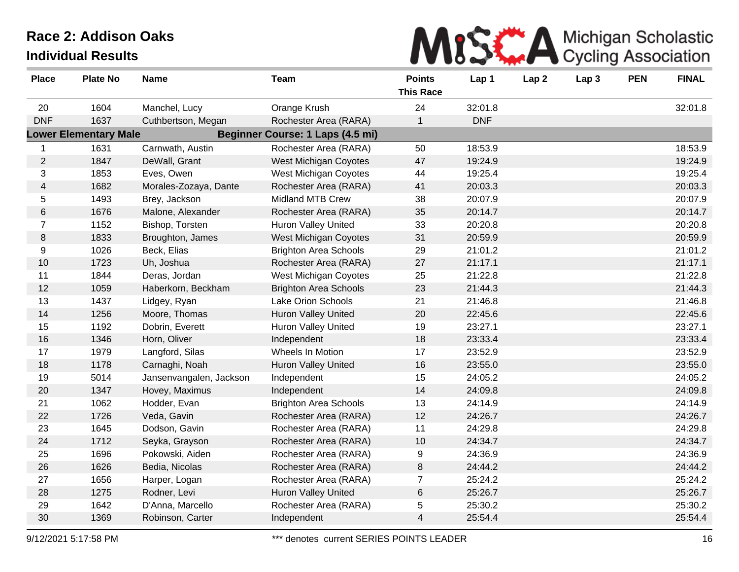

| <b>Place</b>   | <b>Plate No</b>              | <b>Name</b>             | <b>Team</b>                      | <b>Points</b><br><b>This Race</b> | Lap 1      | Lap <sub>2</sub> | Lap <sub>3</sub> | <b>PEN</b> | <b>FINAL</b> |
|----------------|------------------------------|-------------------------|----------------------------------|-----------------------------------|------------|------------------|------------------|------------|--------------|
| 20             | 1604                         | Manchel, Lucy           | Orange Krush                     | 24                                | 32:01.8    |                  |                  |            | 32:01.8      |
| <b>DNF</b>     | 1637                         | Cuthbertson, Megan      | Rochester Area (RARA)            | 1                                 | <b>DNF</b> |                  |                  |            |              |
|                | <b>Lower Elementary Male</b> |                         | Beginner Course: 1 Laps (4.5 mi) |                                   |            |                  |                  |            |              |
| $\mathbf{1}$   | 1631                         | Carnwath, Austin        | Rochester Area (RARA)            | 50                                | 18:53.9    |                  |                  |            | 18:53.9      |
| $\overline{2}$ | 1847                         | DeWall, Grant           | West Michigan Coyotes            | 47                                | 19:24.9    |                  |                  |            | 19:24.9      |
| 3              | 1853                         | Eves, Owen              | West Michigan Coyotes            | 44                                | 19:25.4    |                  |                  |            | 19:25.4      |
| $\overline{4}$ | 1682                         | Morales-Zozaya, Dante   | Rochester Area (RARA)            | 41                                | 20:03.3    |                  |                  |            | 20:03.3      |
| 5              | 1493                         | Brey, Jackson           | Midland MTB Crew                 | 38                                | 20:07.9    |                  |                  |            | 20:07.9      |
| 6              | 1676                         | Malone, Alexander       | Rochester Area (RARA)            | 35                                | 20:14.7    |                  |                  |            | 20:14.7      |
| $\overline{7}$ | 1152                         | Bishop, Torsten         | <b>Huron Valley United</b>       | 33                                | 20:20.8    |                  |                  |            | 20:20.8      |
| 8              | 1833                         | Broughton, James        | West Michigan Coyotes            | 31                                | 20:59.9    |                  |                  |            | 20:59.9      |
| 9              | 1026                         | Beck, Elias             | <b>Brighton Area Schools</b>     | 29                                | 21:01.2    |                  |                  |            | 21:01.2      |
| 10             | 1723                         | Uh, Joshua              | Rochester Area (RARA)            | 27                                | 21:17.1    |                  |                  |            | 21:17.1      |
| 11             | 1844                         | Deras, Jordan           | West Michigan Coyotes            | 25                                | 21:22.8    |                  |                  |            | 21:22.8      |
| 12             | 1059                         | Haberkorn, Beckham      | <b>Brighton Area Schools</b>     | 23                                | 21:44.3    |                  |                  |            | 21:44.3      |
| 13             | 1437                         | Lidgey, Ryan            | Lake Orion Schools               | 21                                | 21:46.8    |                  |                  |            | 21:46.8      |
| 14             | 1256                         | Moore, Thomas           | <b>Huron Valley United</b>       | 20                                | 22:45.6    |                  |                  |            | 22:45.6      |
| 15             | 1192                         | Dobrin, Everett         | <b>Huron Valley United</b>       | 19                                | 23:27.1    |                  |                  |            | 23:27.1      |
| 16             | 1346                         | Horn, Oliver            | Independent                      | 18                                | 23:33.4    |                  |                  |            | 23:33.4      |
| 17             | 1979                         | Langford, Silas         | Wheels In Motion                 | 17                                | 23:52.9    |                  |                  |            | 23:52.9      |
| 18             | 1178                         | Carnaghi, Noah          | <b>Huron Valley United</b>       | 16                                | 23:55.0    |                  |                  |            | 23:55.0      |
| 19             | 5014                         | Jansenvangalen, Jackson | Independent                      | 15                                | 24:05.2    |                  |                  |            | 24:05.2      |
| 20             | 1347                         | Hovey, Maximus          | Independent                      | 14                                | 24:09.8    |                  |                  |            | 24:09.8      |
| 21             | 1062                         | Hodder, Evan            | <b>Brighton Area Schools</b>     | 13                                | 24:14.9    |                  |                  |            | 24:14.9      |
| 22             | 1726                         | Veda, Gavin             | Rochester Area (RARA)            | 12                                | 24:26.7    |                  |                  |            | 24:26.7      |
| 23             | 1645                         | Dodson, Gavin           | Rochester Area (RARA)            | 11                                | 24:29.8    |                  |                  |            | 24:29.8      |
| 24             | 1712                         | Seyka, Grayson          | Rochester Area (RARA)            | 10                                | 24:34.7    |                  |                  |            | 24:34.7      |
| 25             | 1696                         | Pokowski, Aiden         | Rochester Area (RARA)            | 9                                 | 24:36.9    |                  |                  |            | 24:36.9      |
| 26             | 1626                         | Bedia, Nicolas          | Rochester Area (RARA)            | 8                                 | 24:44.2    |                  |                  |            | 24:44.2      |
| 27             | 1656                         | Harper, Logan           | Rochester Area (RARA)            | $\overline{7}$                    | 25:24.2    |                  |                  |            | 25:24.2      |
| 28             | 1275                         | Rodner, Levi            | <b>Huron Valley United</b>       | 6                                 | 25:26.7    |                  |                  |            | 25:26.7      |
| 29             | 1642                         | D'Anna, Marcello        | Rochester Area (RARA)            | 5                                 | 25:30.2    |                  |                  |            | 25:30.2      |
| 30             | 1369                         | Robinson, Carter        | Independent                      | $\overline{4}$                    | 25:54.4    |                  |                  |            | 25:54.4      |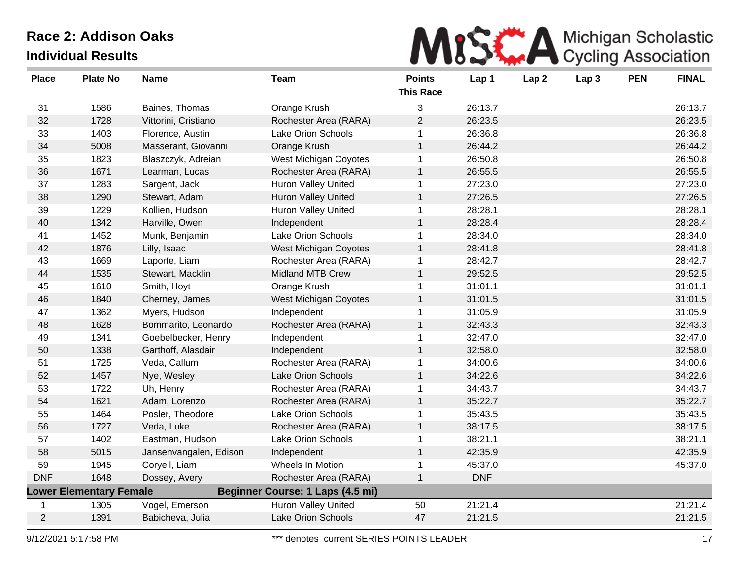

| <b>Place</b> | <b>Plate No</b>                | <b>Name</b>            | <b>Team</b>                      | <b>Points</b><br><b>This Race</b> | Lap 1      | Lap <sub>2</sub> | Lap <sub>3</sub> | <b>PEN</b> | <b>FINAL</b> |
|--------------|--------------------------------|------------------------|----------------------------------|-----------------------------------|------------|------------------|------------------|------------|--------------|
| 31           | 1586                           | Baines, Thomas         | Orange Krush                     | 3                                 | 26:13.7    |                  |                  |            | 26:13.7      |
| 32           | 1728                           | Vittorini, Cristiano   | Rochester Area (RARA)            | $\overline{2}$                    | 26:23.5    |                  |                  |            | 26:23.5      |
| 33           | 1403                           | Florence, Austin       | Lake Orion Schools               | 1                                 | 26:36.8    |                  |                  |            | 26:36.8      |
| 34           | 5008                           | Masserant, Giovanni    | Orange Krush                     | $\mathbf{1}$                      | 26:44.2    |                  |                  |            | 26:44.2      |
| 35           | 1823                           | Blaszczyk, Adreian     | West Michigan Coyotes            | $\mathbf 1$                       | 26:50.8    |                  |                  |            | 26:50.8      |
| 36           | 1671                           | Learman, Lucas         | Rochester Area (RARA)            | $\mathbf 1$                       | 26:55.5    |                  |                  |            | 26:55.5      |
| 37           | 1283                           | Sargent, Jack          | <b>Huron Valley United</b>       | 1                                 | 27:23.0    |                  |                  |            | 27:23.0      |
| 38           | 1290                           | Stewart, Adam          | <b>Huron Valley United</b>       | $\mathbf{1}$                      | 27:26.5    |                  |                  |            | 27:26.5      |
| 39           | 1229                           | Kollien, Hudson        | Huron Valley United              | 1                                 | 28:28.1    |                  |                  |            | 28:28.1      |
| 40           | 1342                           | Harville, Owen         | Independent                      | $\mathbf{1}$                      | 28:28.4    |                  |                  |            | 28:28.4      |
| 41           | 1452                           | Munk, Benjamin         | Lake Orion Schools               | 1                                 | 28:34.0    |                  |                  |            | 28:34.0      |
| 42           | 1876                           | Lilly, Isaac           | <b>West Michigan Coyotes</b>     | $\mathbf{1}$                      | 28:41.8    |                  |                  |            | 28:41.8      |
| 43           | 1669                           | Laporte, Liam          | Rochester Area (RARA)            | 1                                 | 28:42.7    |                  |                  |            | 28:42.7      |
| 44           | 1535                           | Stewart, Macklin       | <b>Midland MTB Crew</b>          | 1                                 | 29:52.5    |                  |                  |            | 29:52.5      |
| 45           | 1610                           | Smith, Hoyt            | Orange Krush                     | $\mathbf 1$                       | 31:01.1    |                  |                  |            | 31:01.1      |
| 46           | 1840                           | Cherney, James         | West Michigan Coyotes            | 1                                 | 31:01.5    |                  |                  |            | 31:01.5      |
| 47           | 1362                           | Myers, Hudson          | Independent                      | 1                                 | 31:05.9    |                  |                  |            | 31:05.9      |
| 48           | 1628                           | Bommarito, Leonardo    | Rochester Area (RARA)            | 1                                 | 32:43.3    |                  |                  |            | 32:43.3      |
| 49           | 1341                           | Goebelbecker, Henry    | Independent                      | 1                                 | 32:47.0    |                  |                  |            | 32:47.0      |
| 50           | 1338                           | Garthoff, Alasdair     | Independent                      | $\mathbf{1}$                      | 32:58.0    |                  |                  |            | 32:58.0      |
| 51           | 1725                           | Veda, Callum           | Rochester Area (RARA)            | 1                                 | 34:00.6    |                  |                  |            | 34:00.6      |
| 52           | 1457                           | Nye, Wesley            | <b>Lake Orion Schools</b>        | $\mathbf{1}$                      | 34:22.6    |                  |                  |            | 34:22.6      |
| 53           | 1722                           | Uh, Henry              | Rochester Area (RARA)            | 1                                 | 34:43.7    |                  |                  |            | 34:43.7      |
| 54           | 1621                           | Adam, Lorenzo          | Rochester Area (RARA)            | $\mathbf 1$                       | 35:22.7    |                  |                  |            | 35:22.7      |
| 55           | 1464                           | Posler, Theodore       | Lake Orion Schools               | $\mathbf 1$                       | 35:43.5    |                  |                  |            | 35:43.5      |
| 56           | 1727                           | Veda, Luke             | Rochester Area (RARA)            | $\mathbf{1}$                      | 38:17.5    |                  |                  |            | 38:17.5      |
| 57           | 1402                           | Eastman, Hudson        | Lake Orion Schools               | $\mathbf 1$                       | 38:21.1    |                  |                  |            | 38:21.1      |
| 58           | 5015                           | Jansenvangalen, Edison | Independent                      | $\mathbf{1}$                      | 42:35.9    |                  |                  |            | 42:35.9      |
| 59           | 1945                           | Coryell, Liam          | Wheels In Motion                 | 1                                 | 45:37.0    |                  |                  |            | 45:37.0      |
| <b>DNF</b>   | 1648                           | Dossey, Avery          | Rochester Area (RARA)            | 1                                 | <b>DNF</b> |                  |                  |            |              |
|              | <b>Lower Elementary Female</b> |                        | Beginner Course: 1 Laps (4.5 mi) |                                   |            |                  |                  |            |              |
| -1           | 1305                           | Vogel, Emerson         | Huron Valley United              | 50                                | 21:21.4    |                  |                  |            | 21:21.4      |
| 2            | 1391                           | Babicheva, Julia       | <b>Lake Orion Schools</b>        | 47                                | 21:21.5    |                  |                  |            | 21:21.5      |